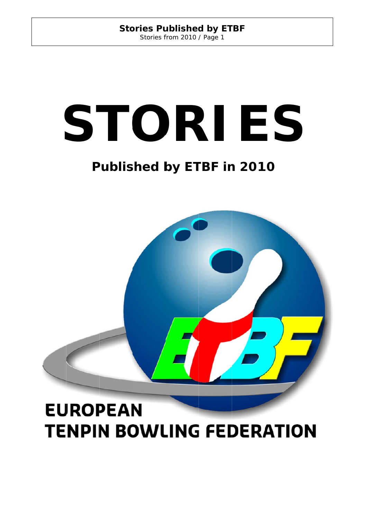# **Stories Published by ETBF** Stories from 2010 / Page 1

# STORIES<br>
Published by ETBF in 2010

# **Published by ETBF in 2010**



# **EUROPEAN TENPIN BOWLING FEDERATION**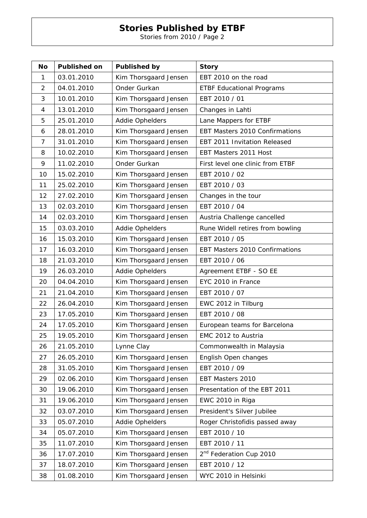Stories from 2010 / Page 2

| No             | <b>Published on</b> | <b>Published by</b>   | <b>Story</b>                        |
|----------------|---------------------|-----------------------|-------------------------------------|
| 1              | 03.01.2010          | Kim Thorsgaard Jensen | EBT 2010 on the road                |
| $\overline{2}$ | 04.01.2010          | Onder Gurkan          | <b>ETBF Educational Programs</b>    |
| 3              | 10.01.2010          | Kim Thorsgaard Jensen | EBT 2010 / 01                       |
| 4              | 13.01.2010          | Kim Thorsgaard Jensen | Changes in Lahti                    |
| 5              | 25.01.2010          | Addie Ophelders       | Lane Mappers for ETBF               |
| 6              | 28.01.2010          | Kim Thorsgaard Jensen | EBT Masters 2010 Confirmations      |
| 7              | 31.01.2010          | Kim Thorsgaard Jensen | EBT 2011 Invitation Released        |
| 8              | 10.02.2010          | Kim Thorsgaard Jensen | EBT Masters 2011 Host               |
| 9              | 11.02.2010          | Onder Gurkan          | First level one clinic from ETBF    |
| 10             | 15.02.2010          | Kim Thorsgaard Jensen | EBT 2010 / 02                       |
| 11             | 25.02.2010          | Kim Thorsgaard Jensen | EBT 2010 / 03                       |
| 12             | 27.02.2010          | Kim Thorsgaard Jensen | Changes in the tour                 |
| 13             | 02.03.2010          | Kim Thorsgaard Jensen | EBT 2010 / 04                       |
| 14             | 02.03.2010          | Kim Thorsgaard Jensen | Austria Challenge cancelled         |
| 15             | 03.03.2010          | Addie Ophelders       | Rune Widell retires from bowling    |
| 16             | 15.03.2010          | Kim Thorsgaard Jensen | EBT 2010 / 05                       |
| 17             | 16.03.2010          | Kim Thorsgaard Jensen | EBT Masters 2010 Confirmations      |
| 18             | 21.03.2010          | Kim Thorsgaard Jensen | EBT 2010 / 06                       |
| 19             | 26.03.2010          | Addie Ophelders       | Agreement ETBF - SO EE              |
| 20             | 04.04.2010          | Kim Thorsgaard Jensen | EYC 2010 in France                  |
| 21             | 21.04.2010          | Kim Thorsgaard Jensen | EBT 2010 / 07                       |
| 22             | 26.04.2010          | Kim Thorsgaard Jensen | EWC 2012 in Tilburg                 |
| 23             | 17.05.2010          | Kim Thorsgaard Jensen | EBT 2010 / 08                       |
| 24             | 17.05.2010          | Kim Thorsgaard Jensen | European teams for Barcelona        |
| 25             | 19.05.2010          | Kim Thorsgaard Jensen | EMC 2012 to Austria                 |
| 26             | 21.05.2010          | Lynne Clay            | Commonwealth in Malaysia            |
| 27             | 26.05.2010          | Kim Thorsgaard Jensen | English Open changes                |
| 28             | 31.05.2010          | Kim Thorsgaard Jensen | EBT 2010 / 09                       |
| 29             | 02.06.2010          | Kim Thorsgaard Jensen | EBT Masters 2010                    |
| 30             | 19.06.2010          | Kim Thorsgaard Jensen | Presentation of the EBT 2011        |
| 31             | 19.06.2010          | Kim Thorsgaard Jensen | EWC 2010 in Riga                    |
| 32             | 03.07.2010          | Kim Thorsgaard Jensen | President's Silver Jubilee          |
| 33             | 05.07.2010          | Addie Ophelders       | Roger Christofidis passed away      |
| 34             | 05.07.2010          | Kim Thorsgaard Jensen | EBT 2010 / 10                       |
| 35             | 11.07.2010          | Kim Thorsgaard Jensen | EBT 2010 / 11                       |
| 36             | 17.07.2010          | Kim Thorsgaard Jensen | 2 <sup>nd</sup> Federation Cup 2010 |
| 37             | 18.07.2010          | Kim Thorsgaard Jensen | EBT 2010 / 12                       |
| 38             | 01.08.2010          | Kim Thorsgaard Jensen | WYC 2010 in Helsinki                |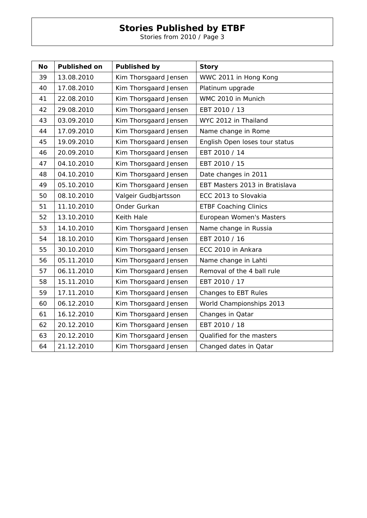Stories from 2010 / Page 3

| <b>No</b> | <b>Published on</b> | <b>Published by</b>   | <b>Story</b>                   |
|-----------|---------------------|-----------------------|--------------------------------|
| 39        | 13.08.2010          | Kim Thorsgaard Jensen | WWC 2011 in Hong Kong          |
| 40        | 17.08.2010          | Kim Thorsgaard Jensen | Platinum upgrade               |
| 41        | 22.08.2010          | Kim Thorsgaard Jensen | WMC 2010 in Munich             |
| 42        | 29.08.2010          | Kim Thorsgaard Jensen | EBT 2010 / 13                  |
| 43        | 03.09.2010          | Kim Thorsgaard Jensen | WYC 2012 in Thailand           |
| 44        | 17.09.2010          | Kim Thorsgaard Jensen | Name change in Rome            |
| 45        | 19.09.2010          | Kim Thorsgaard Jensen | English Open loses tour status |
| 46        | 20.09.2010          | Kim Thorsgaard Jensen | EBT 2010 / 14                  |
| 47        | 04.10.2010          | Kim Thorsgaard Jensen | EBT 2010 / 15                  |
| 48        | 04.10.2010          | Kim Thorsgaard Jensen | Date changes in 2011           |
| 49        | 05.10.2010          | Kim Thorsgaard Jensen | EBT Masters 2013 in Bratislava |
| 50        | 08.10.2010          | Valgeir Gudbjartsson  | ECC 2013 to Slovakia           |
| 51        | 11.10.2010          | Onder Gurkan          | <b>ETBF Coaching Clinics</b>   |
| 52        | 13.10.2010          | Keith Hale            | European Women's Masters       |
| 53        | 14.10.2010          | Kim Thorsgaard Jensen | Name change in Russia          |
| 54        | 18.10.2010          | Kim Thorsgaard Jensen | EBT 2010 / 16                  |
| 55        | 30.10.2010          | Kim Thorsgaard Jensen | ECC 2010 in Ankara             |
| 56        | 05.11.2010          | Kim Thorsgaard Jensen | Name change in Lahti           |
| 57        | 06.11.2010          | Kim Thorsgaard Jensen | Removal of the 4 ball rule     |
| 58        | 15.11.2010          | Kim Thorsgaard Jensen | EBT 2010 / 17                  |
| 59        | 17.11.2010          | Kim Thorsgaard Jensen | Changes to EBT Rules           |
| 60        | 06.12.2010          | Kim Thorsgaard Jensen | World Championships 2013       |
| 61        | 16.12.2010          | Kim Thorsgaard Jensen | Changes in Qatar               |
| 62        | 20.12.2010          | Kim Thorsgaard Jensen | EBT 2010 / 18                  |
| 63        | 20.12.2010          | Kim Thorsgaard Jensen | Qualified for the masters      |
| 64        | 21.12.2010          | Kim Thorsgaard Jensen | Changed dates in Qatar         |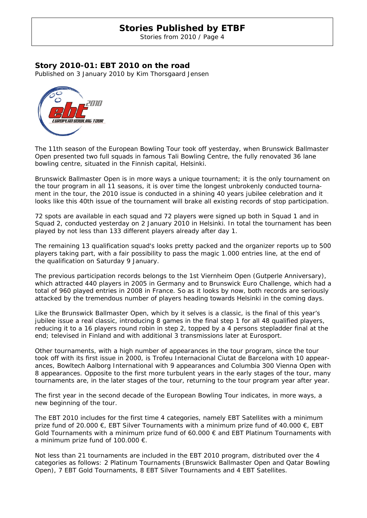Stories from 2010 / Page 4

# **Story 2010-01: EBT 2010 on the road**

Published on 3 January 2010 by Kim Thorsgaard Jensen



The 11th season of the European Bowling Tour took off yesterday, when Brunswick Ballmaster Open presented two full squads in famous Tali Bowling Centre, the fully renovated 36 lane bowling centre, situated in the Finnish capital, Helsinki.

Brunswick Ballmaster Open is in more ways a unique tournament; it is the only tournament on the tour program in all 11 seasons, it is over time the longest unbrokenly conducted tournament in the tour, the 2010 issue is conducted in a shining 40 years jubilee celebration and it looks like this 40th issue of the tournament will brake all existing records of stop participation.

72 spots are available in each squad and 72 players were signed up both in Squad 1 and in Squad 2, conducted yesterday on 2 January 2010 in Helsinki. In total the tournament has been played by not less than 133 different players already after day 1.

The remaining 13 qualification squad's looks pretty packed and the organizer reports up to 500 players taking part, with a fair possibility to pass the magic 1.000 entries line, at the end of the qualification on Saturday 9 January.

The previous participation records belongs to the 1st Viernheim Open (Gutperle Anniversary), which attracted 440 players in 2005 in Germany and to Brunswick Euro Challenge, which had a total of 960 played entries in 2008 in France. So as it looks by now, both records are seriously attacked by the tremendous number of players heading towards Helsinki in the coming days.

Like the Brunswick Ballmaster Open, which by it selves is a classic, is the final of this year's jubilee issue a real classic, introducing 8 games in the final step 1 for all 48 qualified players, reducing it to a 16 players round robin in step 2, topped by a 4 persons stepladder final at the end; televised in Finland and with additional 3 transmissions later at Eurosport.

Other tournaments, with a high number of appearances in the tour program, since the tour took off with its first issue in 2000, is Trofeu Internacional Ciutat de Barcelona with 10 appearances, Bowltech Aalborg International with 9 appearances and Columbia 300 Vienna Open with 8 appearances. Opposite to the first more turbulent years in the early stages of the tour, many tournaments are, in the later stages of the tour, returning to the tour program year after year.

The first year in the second decade of the European Bowling Tour indicates, in more ways, a new beginning of the tour.

The EBT 2010 includes for the first time 4 categories, namely EBT Satellites with a minimum prize fund of 20.000  $\epsilon$ , EBT Silver Tournaments with a minimum prize fund of 40.000  $\epsilon$ , EBT Gold Tournaments with a minimum prize fund of 60.000 € and EBT Platinum Tournaments with a minimum prize fund of 100.000 €.

Not less than 21 tournaments are included in the EBT 2010 program, distributed over the 4 categories as follows: 2 Platinum Tournaments (Brunswick Ballmaster Open and Qatar Bowling Open), 7 EBT Gold Tournaments, 8 EBT Silver Tournaments and 4 EBT Satellites.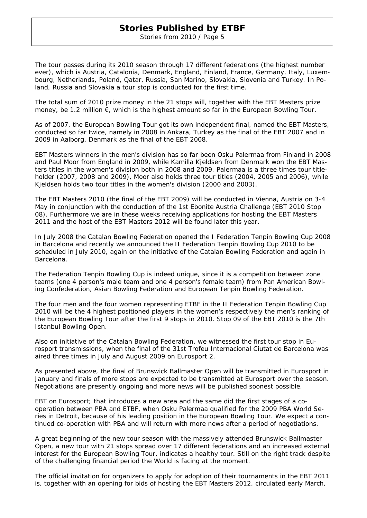Stories from 2010 / Page 5

The tour passes during its 2010 season through 17 different federations (the highest number ever), which is Austria, Catalonia, Denmark, England, Finland, France, Germany, Italy, Luxembourg, Netherlands, Poland, Qatar, Russia, San Marino, Slovakia, Slovenia and Turkey. In Poland, Russia and Slovakia a tour stop is conducted for the first time.

The total sum of 2010 prize money in the 21 stops will, together with the EBT Masters prize money, be 1.2 million €, which is the highest amount so far in the European Bowling Tour.

As of 2007, the European Bowling Tour got its own independent final, named the EBT Masters, conducted so far twice, namely in 2008 in Ankara, Turkey as the final of the EBT 2007 and in 2009 in Aalborg, Denmark as the final of the EBT 2008.

EBT Masters winners in the men's division has so far been Osku Palermaa from Finland in 2008 and Paul Moor from England in 2009, while Kamilla Kjeldsen from Denmark won the EBT Masters titles in the women's division both in 2008 and 2009. Palermaa is a three times tour titleholder (2007, 2008 and 2009), Moor also holds three tour titles (2004, 2005 and 2006), while Kjeldsen holds two tour titles in the women's division (2000 and 2003).

The EBT Masters 2010 (the final of the EBT 2009) will be conducted in Vienna, Austria on 3-4 May in conjunction with the conduction of the 1st Ebonite Austria Challenge (EBT 2010 Stop 08). Furthermore we are in these weeks receiving applications for hosting the EBT Masters 2011 and the host of the EBT Masters 2012 will be found later this year.

In July 2008 the Catalan Bowling Federation opened the I Federation Tenpin Bowling Cup 2008 in Barcelona and recently we announced the II Federation Tenpin Bowling Cup 2010 to be scheduled in July 2010, again on the initiative of the Catalan Bowling Federation and again in Barcelona.

The Federation Tenpin Bowling Cup is indeed unique, since it is a competition between zone teams (one 4 person's male team and one 4 person's female team) from Pan American Bowling Confederation, Asian Bowling Federation and European Tenpin Bowling Federation.

The four men and the four women representing ETBF in the II Federation Tenpin Bowling Cup 2010 will be the 4 highest positioned players in the women's respectively the men's ranking of the European Bowling Tour after the first 9 stops in 2010. Stop 09 of the EBT 2010 is the 7th Istanbul Bowling Open.

Also on initiative of the Catalan Bowling Federation, we witnessed the first tour stop in Eurosport transmissions, when the final of the 31st Trofeu Internacional Ciutat de Barcelona was aired three times in July and August 2009 on Eurosport 2.

As presented above, the final of Brunswick Ballmaster Open will be transmitted in Eurosport in January and finals of more stops are expected to be transmitted at Eurosport over the season. Negotiations are presently ongoing and more news will be published soonest possible.

EBT on Eurosport; that introduces a new area and the same did the first stages of a cooperation between PBA and ETBF, when Osku Palermaa qualified for the 2009 PBA World Series in Detroit, because of his leading position in the European Bowling Tour. We expect a continued co-operation with PBA and will return with more news after a period of negotiations.

A great beginning of the new tour season with the massively attended Brunswick Ballmaster Open, a new tour with 21 stops spread over 17 different federations and an increased external interest for the European Bowling Tour, indicates a healthy tour. Still on the right track despite of the challenging financial period the World is facing at the moment.

The official invitation for organizers to apply for adoption of their tournaments in the EBT 2011 is, together with an opening for bids of hosting the EBT Masters 2012, circulated early March,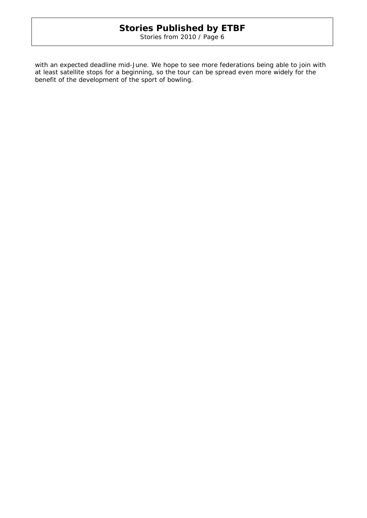Stories from 2010 / Page 6

with an expected deadline mid-June. We hope to see more federations being able to join with at least satellite stops for a beginning, so the tour can be spread even more widely for the benefit of the development of the sport of bowling.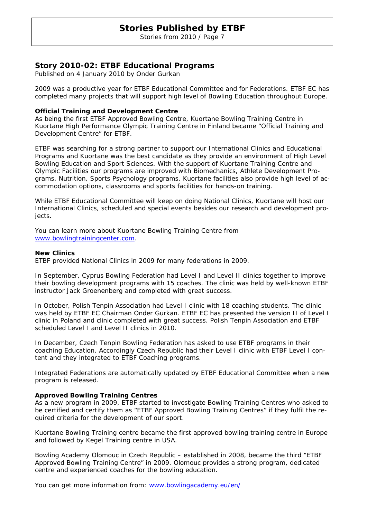Stories from 2010 / Page 7

# **Story 2010-02: ETBF Educational Programs**

Published on 4 January 2010 by Onder Gurkan

2009 was a productive year for ETBF Educational Committee and for Federations. ETBF EC has completed many projects that will support high level of Bowling Education throughout Europe.

### **Official Training and Development Centre**

As being the first ETBF Approved Bowling Centre, Kuortane Bowling Training Centre in Kuortane High Performance Olympic Training Centre in Finland became "Official Training and Development Centre" for ETBF.

ETBF was searching for a strong partner to support our International Clinics and Educational Programs and Kuortane was the best candidate as they provide an environment of High Level Bowling Education and Sport Sciences. With the support of Kuortane Training Centre and Olympic Facilities our programs are improved with Biomechanics, Athlete Development Programs, Nutrition, Sports Psychology programs. Kuortane facilities also provide high level of accommodation options, classrooms and sports facilities for hands-on training.

While ETBF Educational Committee will keep on doing National Clinics, Kuortane will host our International Clinics, scheduled and special events besides our research and development projects.

You can learn more about Kuortane Bowling Training Centre from www.bowlingtrainingcenter.com.

### **New Clinics**

ETBF provided National Clinics in 2009 for many federations in 2009.

In September, Cyprus Bowling Federation had Level I and Level II clinics together to improve their bowling development programs with 15 coaches. The clinic was held by well-known ETBF instructor Jack Groenenberg and completed with great success.

In October, Polish Tenpin Association had Level I clinic with 18 coaching students. The clinic was held by ETBF EC Chairman Onder Gurkan. ETBF EC has presented the version II of Level I clinic in Poland and clinic completed with great success. Polish Tenpin Association and ETBF scheduled Level I and Level II clinics in 2010.

In December, Czech Tenpin Bowling Federation has asked to use ETBF programs in their coaching Education. Accordingly Czech Republic had their Level I clinic with ETBF Level I content and they integrated to ETBF Coaching programs.

Integrated Federations are automatically updated by ETBF Educational Committee when a new program is released.

### **Approved Bowling Training Centres**

As a new program in 2009, ETBF started to investigate Bowling Training Centres who asked to be certified and certify them as "ETBF Approved Bowling Training Centres" if they fulfil the required criteria for the development of our sport.

Kuortane Bowling Training centre became the first approved bowling training centre in Europe and followed by Kegel Training centre in USA.

Bowling Academy Olomouc in Czech Republic – established in 2008, became the third "ETBF Approved Bowling Training Centre" in 2009. Olomouc provides a strong program, dedicated centre and experienced coaches for the bowling education.

You can get more information from: www.bowlingacademy.eu/en/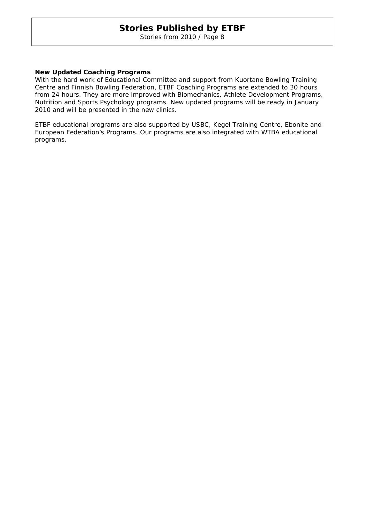Stories from 2010 / Page 8

### **New Updated Coaching Programs**

With the hard work of Educational Committee and support from Kuortane Bowling Training Centre and Finnish Bowling Federation, ETBF Coaching Programs are extended to 30 hours from 24 hours. They are more improved with Biomechanics, Athlete Development Programs, Nutrition and Sports Psychology programs. New updated programs will be ready in January 2010 and will be presented in the new clinics.

ETBF educational programs are also supported by USBC, Kegel Training Centre, Ebonite and European Federation's Programs. Our programs are also integrated with WTBA educational programs.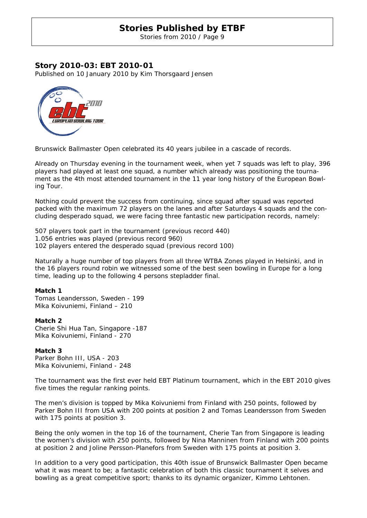Stories from 2010 / Page 9

### **Story 2010-03: EBT 2010-01**

Published on 10 January 2010 by Kim Thorsgaard Jensen



Brunswick Ballmaster Open celebrated its 40 years jubilee in a cascade of records.

Already on Thursday evening in the tournament week, when yet 7 squads was left to play, 396 players had played at least one squad, a number which already was positioning the tournament as the 4th most attended tournament in the 11 year long history of the European Bowling Tour.

Nothing could prevent the success from continuing, since squad after squad was reported packed with the maximum 72 players on the lanes and after Saturdays 4 squads and the concluding desperado squad, we were facing three fantastic new participation records, namely:

507 players took part in the tournament (previous record 440) 1.056 entries was played (previous record 960) 102 players entered the desperado squad (previous record 100)

Naturally a huge number of top players from all three WTBA Zones played in Helsinki, and in the 16 players round robin we witnessed some of the best seen bowling in Europe for a long time, leading up to the following 4 persons stepladder final.

### **Match 1**

Tomas Leandersson, Sweden - 199 Mika Koivuniemi, Finland – 210

### **Match 2**

Cherie Shi Hua Tan, Singapore -187 Mika Koivuniemi, Finland - 270

### **Match 3**

Parker Bohn III, USA - 203 Mika Koivuniemi, Finland - 248

The tournament was the first ever held EBT Platinum tournament, which in the EBT 2010 gives five times the regular ranking points.

The men's division is topped by Mika Koivuniemi from Finland with 250 points, followed by Parker Bohn III from USA with 200 points at position 2 and Tomas Leandersson from Sweden with 175 points at position 3.

Being the only women in the top 16 of the tournament, Cherie Tan from Singapore is leading the women's division with 250 points, followed by Nina Manninen from Finland with 200 points at position 2 and Joline Persson-Planefors from Sweden with 175 points at position 3.

In addition to a very good participation, this 40th issue of Brunswick Ballmaster Open became what it was meant to be; a fantastic celebration of both this classic tournament it selves and bowling as a great competitive sport; thanks to its dynamic organizer, Kimmo Lehtonen.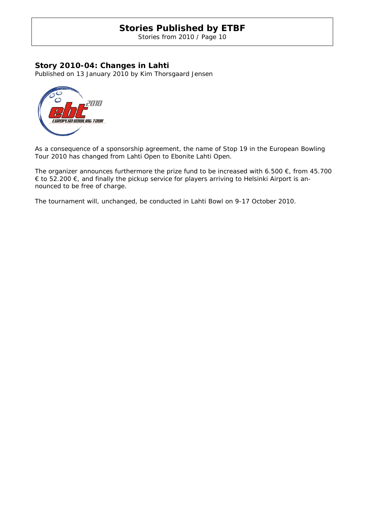Stories from 2010 / Page 10

# **Story 2010-04: Changes in Lahti**

Published on 13 January 2010 by Kim Thorsgaard Jensen



As a consequence of a sponsorship agreement, the name of Stop 19 in the European Bowling Tour 2010 has changed from Lahti Open to Ebonite Lahti Open.

The organizer announces furthermore the prize fund to be increased with 6.500  $\epsilon$ , from 45.700 € to 52.200 €, and finally the pickup service for players arriving to Helsinki Airport is announced to be free of charge.

The tournament will, unchanged, be conducted in Lahti Bowl on 9-17 October 2010.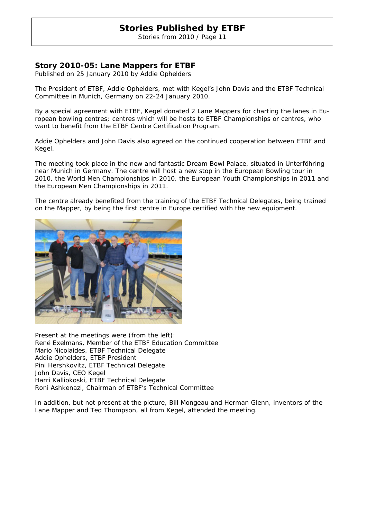Stories from 2010 / Page 11

# **Story 2010-05: Lane Mappers for ETBF**

Published on 25 January 2010 by Addie Ophelders

The President of ETBF, Addie Ophelders, met with Kegel's John Davis and the ETBF Technical Committee in Munich, Germany on 22-24 January 2010.

By a special agreement with ETBF, Kegel donated 2 Lane Mappers for charting the lanes in European bowling centres; centres which will be hosts to ETBF Championships or centres, who want to benefit from the ETBF Centre Certification Program.

Addie Ophelders and John Davis also agreed on the continued cooperation between ETBF and Kegel.

The meeting took place in the new and fantastic Dream Bowl Palace, situated in Unterföhring near Munich in Germany. The centre will host a new stop in the European Bowling tour in 2010, the World Men Championships in 2010, the European Youth Championships in 2011 and the European Men Championships in 2011.

The centre already benefited from the training of the ETBF Technical Delegates, being trained on the Mapper, by being the first centre in Europe certified with the new equipment.



Present at the meetings were (from the left): René Exelmans, Member of the ETBF Education Committee Mario Nicolaides, ETBF Technical Delegate Addie Ophelders, ETBF President Pini Hershkovitz, ETBF Technical Delegate John Davis, CEO Kegel Harri Kalliokoski, ETBF Technical Delegate Roni Ashkenazi, Chairman of ETBF's Technical Committee

In addition, but not present at the picture, Bill Mongeau and Herman Glenn, inventors of the Lane Mapper and Ted Thompson, all from Kegel, attended the meeting.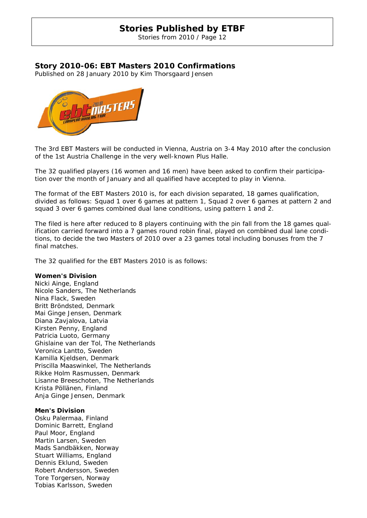Stories from 2010 / Page 12

# Story 2010-06: EBT Masters 2010 Confirmations

Published on 28 January 2010 by Kim Thorsgaard Jensen



The 3rd EBT Masters will be conducted in Vienna, Austria on 3-4 May 2010 after the conclusion of the 1st Austria Challenge in the very well-known Plus Halle.

The 32 qualified players (16 women and 16 men) have been asked to confirm their participation over the month of January and all qualified have accepted to play in Vienna.

The format of the EBT Masters 2010 is, for each division separated, 18 games qualification, divided as follows: Squad 1 over 6 games at pattern 1, Squad 2 over 6 games at pattern 2 and squad 3 over 6 games combined dual lane conditions, using pattern 1 and 2.

The filed is here after reduced to 8 players continuing with the pin fall from the 18 games qualification carried forward into a 7 games round robin final, played on combined dual lane conditions, to decide the two Masters of 2010 over a 23 games total including bonuses from the 7 final matches.

The 32 qualified for the EBT Masters 2010 is as follows:

### **Women's s Division**

Nicki Ainge, England Nicole Sanders, The Netherlands Nina Flack k, Sweden Britt Bröndsted, Denmark Mai Ginge Jensen, Denmark Diana Zavjalova, Latvia Kirsten Penny, England Patricia Luoto, Germany Ghislaine van der Tol, The Netherlands Veronica Lantto, Sweden Kamilla Kj eldsen, De nmark Priscilla Ma aaswinkel, The Nethe rlands Rikke Holm Rasmussen, Denmark Lisanne Breeschoten, The Netherlands Krista Pöllänen, Finland Anja Ginge Jensen, Denmark

### **Men's Div vision**

Osku Palermaa, Finland Dominic B arrett, Eng land Paul Moor, England Martin Larsen, Sweden Mads Sandbäkken, Norway Stuart Williams, England Dennis Eklund, Sweden Robert Andersson, Sweden Tore Torgersen, Norway Tobias Karlsson, Sweden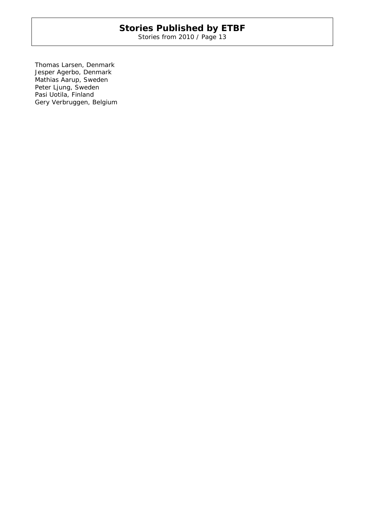Stories from 2010 / Page 13

Thomas Larsen, Denmark Jesper Agerbo, Denmark Mathias Aarup, Sweden Peter Ljung, Sweden Pasi Uotila, Finland Gery Verbruggen, Belgium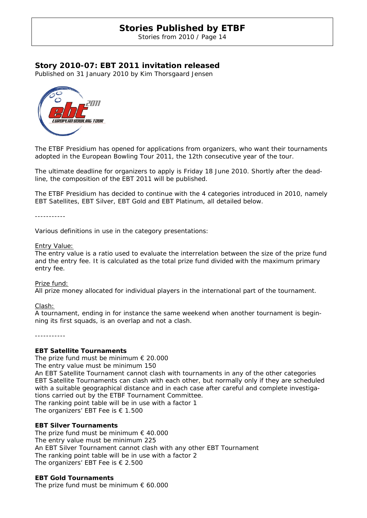Stories from 2010 / Page 14

# **Story 2010-07: EBT 2011 invitation released**

Published on 31 January 2010 by Kim Thorsgaard Jensen



The ETBF Presidium has opened for applications from organizers, who want their tournaments adopted in the European Bowling Tour 2011, the 12th consecutive year of the tour.

The ultimate deadline for organizers to apply is Friday 18 June 2010. Shortly after the deadline, the composition of the EBT 2011 will be published.

The ETBF Presidium has decided to continue with the 4 categories introduced in 2010, namely EBT Satellites, EBT Silver, EBT Gold and EBT Platinum, all detailed below.

-----------

Various definitions in use in the category presentations:

### Entry Value:

The entry value is a ratio used to evaluate the interrelation between the size of the prize fund and the entry fee. It is calculated as the total prize fund divided with the maximum primary entry fee.

### Prize fund:

All prize money allocated for individual players in the international part of the tournament.

Clash:

A tournament, ending in for instance the same weekend when another tournament is beginning its first squads, is an overlap and not a clash.

-----------

### **EBT Satellite Tournaments**

The prize fund must be minimum  $\epsilon$  20.000

The entry value must be minimum 150

An EBT Satellite Tournament cannot clash with tournaments in any of the other categories EBT Satellite Tournaments can clash with each other, but normally only if they are scheduled with a suitable geographical distance and in each case after careful and complete investigations carried out by the ETBF Tournament Committee.

The ranking point table will be in use with a factor 1 The organizers' EBT Fee is  $\epsilon$  1.500

### **EBT Silver Tournaments**

The prize fund must be minimum  $\epsilon$  40.000 The entry value must be minimum 225 An EBT Silver Tournament cannot clash with any other EBT Tournament The ranking point table will be in use with a factor 2 The organizers' EBT Fee is € 2.500

### **EBT Gold Tournaments**

The prize fund must be minimum  $\epsilon$  60.000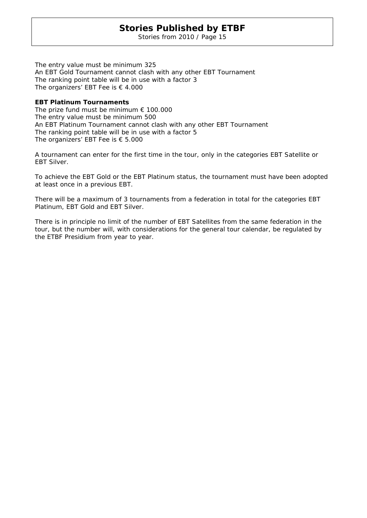Stories from 2010 / Page 15

The entry value must be minimum 325 An EBT Gold Tournament cannot clash with any other EBT Tournament The ranking point table will be in use with a factor 3 The organizers' EBT Fee is  $\epsilon$  4.000

### **EBT Platinum Tournaments**

The prize fund must be minimum  $\epsilon$  100.000 The entry value must be minimum 500 An EBT Platinum Tournament cannot clash with any other EBT Tournament The ranking point table will be in use with a factor 5 The organizers' EBT Fee is  $\epsilon$  5.000

A tournament can enter for the first time in the tour, only in the categories EBT Satellite or EBT Silver.

To achieve the EBT Gold or the EBT Platinum status, the tournament must have been adopted at least once in a previous EBT.

There will be a maximum of 3 tournaments from a federation in total for the categories EBT Platinum, EBT Gold and EBT Silver.

There is in principle no limit of the number of EBT Satellites from the same federation in the tour, but the number will, with considerations for the general tour calendar, be regulated by the ETBF Presidium from year to year.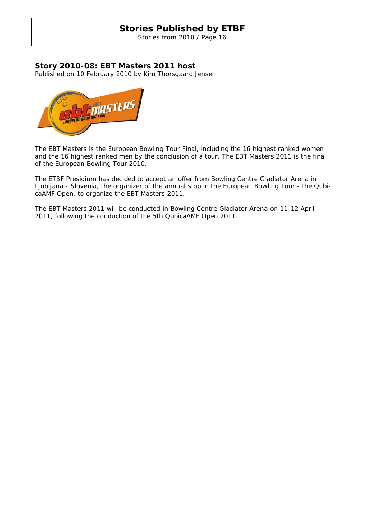Stories from 2010 / Page 16

# **Story 20 010-08: EBT Mas sters 201 11 host**

Published on 10 February 2010 by Kim Thorsgaard Jensen



The EBT Masters is the European Bowling Tour Final, including the 16 highest ranked women and the 16 highest ranked men by the conclusion of a tour. The EBT Masters 2011 is the final of the European Bowling Tour 2010.

The ETBF Presidium has decided to accept an offer from Bowling Centre Gladiator Arena in Ljubljana - Slovenia, the organizer of the annual stop in the European Bowling Tour - the QubicaAMF Open, to organize the EBT Masters 2011.

The EBT Masters 2011 will be conducted in Bowling Centre Gladiator Arena on 11-12 April 2011, following the conduction of the 5th QubicaAMF Open 2011.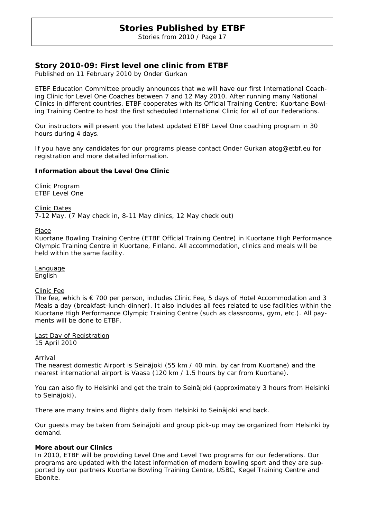Stories from 2010 / Page 17

# **Story 2010-09: First level one clinic from ETBF**

Published on 11 February 2010 by Onder Gurkan

ETBF Education Committee proudly announces that we will have our first International Coaching Clinic for Level One Coaches between 7 and 12 May 2010. After running many National Clinics in different countries, ETBF cooperates with its Official Training Centre; Kuortane Bowling Training Centre to host the first scheduled International Clinic for all of our Federations.

Our instructors will present you the latest updated ETBF Level One coaching program in 30 hours during 4 days.

If you have any candidates for our programs please contact Onder Gurkan atog@etbf.eu for registration and more detailed information.

### **Information about the Level One Clinic**

Clinic Program ETBF Level One

Clinic Dates 7-12 May. (7 May check in, 8-11 May clinics, 12 May check out)

Place

Kuortane Bowling Training Centre (ETBF Official Training Centre) in Kuortane High Performance Olympic Training Centre in Kuortane, Finland. All accommodation, clinics and meals will be held within the same facility.

Language English

### Clinic Fee

The fee, which is  $\epsilon$  700 per person, includes Clinic Fee, 5 days of Hotel Accommodation and 3 Meals a day (breakfast-lunch-dinner). It also includes all fees related to use facilities within the Kuortane High Performance Olympic Training Centre (such as classrooms, gym, etc.). All payments will be done to ETBF.

Last Day of Registration 15 April 2010

**Arrival** 

The nearest domestic Airport is Seinäjoki (55 km / 40 min. by car from Kuortane) and the nearest international airport is Vaasa (120 km / 1.5 hours by car from Kuortane).

You can also fly to Helsinki and get the train to Seinäjoki (approximately 3 hours from Helsinki to Seinäjoki).

There are many trains and flights daily from Helsinki to Seinäjoki and back.

Our guests may be taken from Seinäjoki and group pick-up may be organized from Helsinki by demand.

### **More about our Clinics**

In 2010, ETBF will be providing Level One and Level Two programs for our federations. Our programs are updated with the latest information of modern bowling sport and they are supported by our partners Kuortane Bowling Training Centre, USBC, Kegel Training Centre and Ebonite.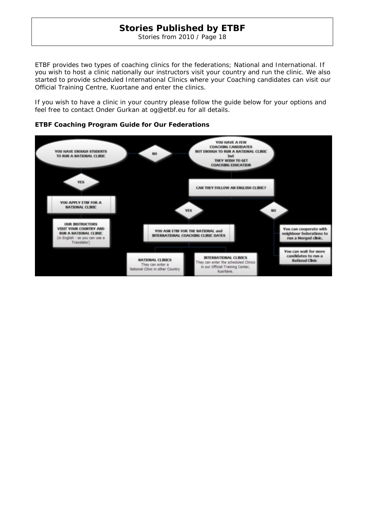Stories from 2010 / Page 18

ETBF provides two types of coaching clinics for the federations; National and International. If you wish to host a clinic nationally our instructors visit your country and run the clinic. We also started to provide scheduled International Clinics where your Coaching candidates can visit our Official Training Centre, Kuortane and enter the clinics.

If you wish to have a clinic in your country please follow the guide below for your options and feel free to contact Onder Gurkan at og@etbf.eu for all details.



### **ETBF Coaching Program Guide for Our Federations**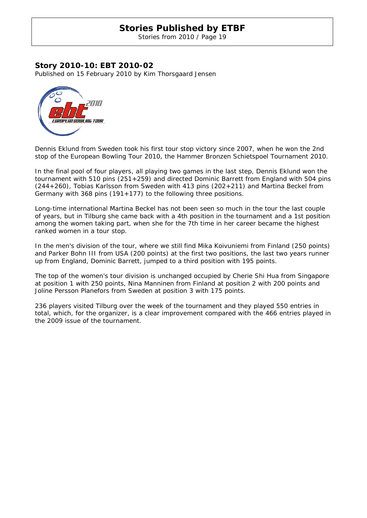Stories from 2010 / Page 19

### **Story 2010-10: EBT 2010-02**

Published on 15 February 2010 by Kim Thorsgaard Jensen



Dennis Eklund from Sweden took his first tour stop victory since 2007, when he won the 2nd stop of the European Bowling Tour 2010, the Hammer Bronzen Schietspoel Tournament 2010.

In the final pool of four players, all playing two games in the last step, Dennis Eklund won the tournament with 510 pins (251+259) and directed Dominic Barrett from England with 504 pins (244+260), Tobias Karlsson from Sweden with 413 pins (202+211) and Martina Beckel from Germany with 368 pins (191+177) to the following three positions.

Long-time international Martina Beckel has not been seen so much in the tour the last couple of years, but in Tilburg she came back with a 4th position in the tournament and a 1st position among the women taking part, when she for the 7th time in her career became the highest ranked women in a tour stop.

In the men's division of the tour, where we still find Mika Koivuniemi from Finland (250 points) and Parker Bohn III from USA (200 points) at the first two positions, the last two years runner up from England, Dominic Barrett, jumped to a third position with 195 points.

The top of the women's tour division is unchanged occupied by Cherie Shi Hua from Singapore at position 1 with 250 points, Nina Manninen from Finland at position 2 with 200 points and Joline Persson Planefors from Sweden at position 3 with 175 points.

236 players visited Tilburg over the week of the tournament and they played 550 entries in total, which, for the organizer, is a clear improvement compared with the 466 entries played in the 2009 issue of the tournament.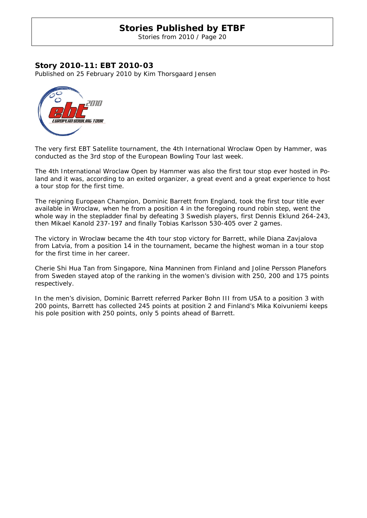Stories from 2010 / Page 20

### **Story 2010-11: EBT 2010-03**

Published on 25 February 2010 by Kim Thorsgaard Jensen



The very first EBT Satellite tournament, the 4th International Wroclaw Open by Hammer, was conducted as the 3rd stop of the European Bowling Tour last week.

The 4th International Wroclaw Open by Hammer was also the first tour stop ever hosted in Poland and it was, according to an exited organizer, a great event and a great experience to host a tour stop for the first time.

The reigning European Champion, Dominic Barrett from England, took the first tour title ever available in Wroclaw, when he from a position 4 in the foregoing round robin step, went the whole way in the stepladder final by defeating 3 Swedish players, first Dennis Eklund 264-243, then Mikael Kanold 237-197 and finally Tobias Karlsson 530-405 over 2 games.

The victory in Wroclaw became the 4th tour stop victory for Barrett, while Diana Zavjalova from Latvia, from a position 14 in the tournament, became the highest woman in a tour stop for the first time in her career.

Cherie Shi Hua Tan from Singapore, Nina Manninen from Finland and Joline Persson Planefors from Sweden stayed atop of the ranking in the women's division with 250, 200 and 175 points respectively.

In the men's division, Dominic Barrett referred Parker Bohn III from USA to a position 3 with 200 points, Barrett has collected 245 points at position 2 and Finland's Mika Koivuniemi keeps his pole position with 250 points, only 5 points ahead of Barrett.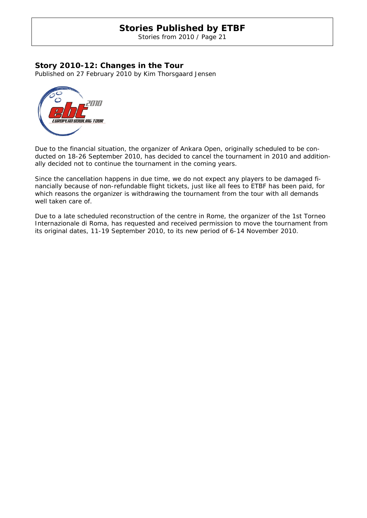Stories from 2010 / Page 21

# **Story 2010-12: Changes in the Tour**

Published on 27 February 2010 by Kim Thorsgaard Jensen



Due to the financial situation, the organizer of Ankara Open, originally scheduled to be conducted on 18-26 September 2010, has decided to cancel the tournament in 2010 and additionally decided not to continue the tournament in the coming years.

Since the cancellation happens in due time, we do not expect any players to be damaged financially because of non-refundable flight tickets, just like all fees to ETBF has been paid, for which reasons the organizer is withdrawing the tournament from the tour with all demands well taken care of.

Due to a late scheduled reconstruction of the centre in Rome, the organizer of the 1st Torneo Internazionale di Roma, has requested and received permission to move the tournament from its original dates, 11-19 September 2010, to its new period of 6-14 November 2010.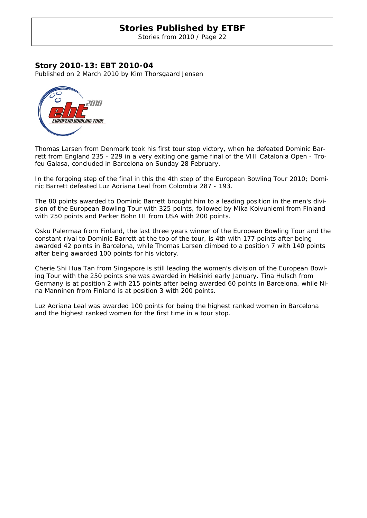Stories from 2010 / Page 22

# **Story 2010-13: EBT 2010-04**

Published on 2 March 2010 by Kim Thorsgaard Jensen



Thomas Larsen from Denmark took his first tour stop victory, when he defeated Dominic Barrett from England 235 - 229 in a very exiting one game final of the VIII Catalonia Open - Trofeu Galasa, concluded in Barcelona on Sunday 28 February.

In the forgoing step of the final in this the 4th step of the European Bowling Tour 2010; Dominic Barrett defeated Luz Adriana Leal from Colombia 287 - 193.

The 80 points awarded to Dominic Barrett brought him to a leading position in the men's division of the European Bowling Tour with 325 points, followed by Mika Koivuniemi from Finland with 250 points and Parker Bohn III from USA with 200 points.

Osku Palermaa from Finland, the last three years winner of the European Bowling Tour and the constant rival to Dominic Barrett at the top of the tour, is 4th with 177 points after being awarded 42 points in Barcelona, while Thomas Larsen climbed to a position 7 with 140 points after being awarded 100 points for his victory.

Cherie Shi Hua Tan from Singapore is still leading the women's division of the European Bowling Tour with the 250 points she was awarded in Helsinki early January. Tina Hulsch from Germany is at position 2 with 215 points after being awarded 60 points in Barcelona, while Nina Manninen from Finland is at position 3 with 200 points.

Luz Adriana Leal was awarded 100 points for being the highest ranked women in Barcelona and the highest ranked women for the first time in a tour stop.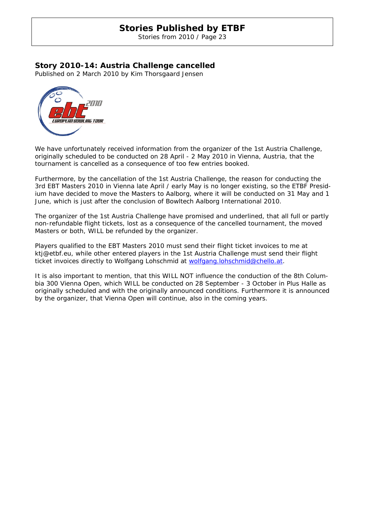Stories from 2010 / Page 23

# **Story 2010-14: Austria Challenge cancelled**

Published on 2 March 2010 by Kim Thorsgaard Jensen



We have unfortunately received information from the organizer of the 1st Austria Challenge, originally scheduled to be conducted on 28 April - 2 May 2010 in Vienna, Austria, that the tournament is cancelled as a consequence of too few entries booked.

Furthermore, by the cancellation of the 1st Austria Challenge, the reason for conducting the 3rd EBT Masters 2010 in Vienna late April / early May is no longer existing, so the ETBF Presidium have decided to move the Masters to Aalborg, where it will be conducted on 31 May and 1 June, which is just after the conclusion of Bowltech Aalborg International 2010.

The organizer of the 1st Austria Challenge have promised and underlined, that all full or partly non-refundable flight tickets, lost as a consequence of the cancelled tournament, the moved Masters or both, WILL be refunded by the organizer.

Players qualified to the EBT Masters 2010 must send their flight ticket invoices to me at ktj@etbf.eu, while other entered players in the 1st Austria Challenge must send their flight ticket invoices directly to Wolfgang Lohschmid at wolfgang.lohschmid@chello.at.

It is also important to mention, that this WILL NOT influence the conduction of the 8th Columbia 300 Vienna Open, which WILL be conducted on 28 September - 3 October in Plus Halle as originally scheduled and with the originally announced conditions. Furthermore it is announced by the organizer, that Vienna Open will continue, also in the coming years.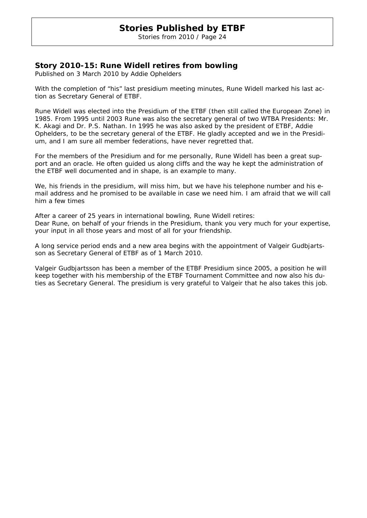Stories from 2010 / Page 24

# **Story 2010-15: Rune Widell retires from bowling**

Published on 3 March 2010 by Addie Ophelders

With the completion of "his" last presidium meeting minutes, Rune Widell marked his last action as Secretary General of ETBF.

Rune Widell was elected into the Presidium of the ETBF (then still called the European Zone) in 1985. From 1995 until 2003 Rune was also the secretary general of two WTBA Presidents: Mr. K. Akagi and Dr. P.S. Nathan. In 1995 he was also asked by the president of ETBF, Addie Ophelders, to be the secretary general of the ETBF. He gladly accepted and we in the Presidium, and I am sure all member federations, have never regretted that.

For the members of the Presidium and for me personally, Rune Widell has been a great support and an oracle. He often guided us along cliffs and the way he kept the administration of the ETBF well documented and in shape, is an example to many.

We, his friends in the presidium, will miss him, but we have his telephone number and his email address and he promised to be available in case we need him. I am afraid that we will call him a few times

After a career of 25 years in international bowling, Rune Widell retires: Dear Rune, on behalf of your friends in the Presidium, thank you very much for your expertise, your input in all those years and most of all for your friendship.

A long service period ends and a new area begins with the appointment of Valgeir Gudbjartsson as Secretary General of ETBF as of 1 March 2010.

Valgeir Gudbjartsson has been a member of the ETBF Presidium since 2005, a position he will keep together with his membership of the ETBF Tournament Committee and now also his duties as Secretary General. The presidium is very grateful to Valgeir that he also takes this job.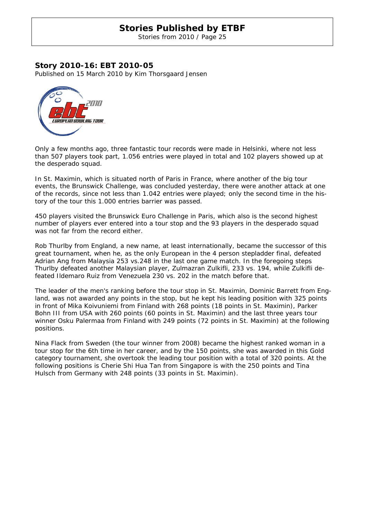Stories from 2010 / Page 25

# **Story 2010-16: EBT 2010-05**

Published on 15 March 2010 by Kim Thorsgaard Jensen



Only a few months ago, three fantastic tour records were made in Helsinki, where not less than 507 players took part, 1.056 entries were played in total and 102 players showed up at the desperado squad.

In St. Maximin, which is situated north of Paris in France, where another of the big tour events, the Brunswick Challenge, was concluded yesterday, there were another attack at one of the records, since not less than 1.042 entries were played; only the second time in the history of the tour this 1.000 entries barrier was passed.

450 players visited the Brunswick Euro Challenge in Paris, which also is the second highest number of players ever entered into a tour stop and the 93 players in the desperado squad was not far from the record either.

Rob Thurlby from England, a new name, at least internationally, became the successor of this great tournament, when he, as the only European in the 4 person stepladder final, defeated Adrian Ang from Malaysia 253 vs.248 in the last one game match. In the foregoing steps Thurlby defeated another Malaysian player, Zulmazran Zulkifli, 233 vs. 194, while Zulkifli defeated Ildemaro Ruiz from Venezuela 230 vs. 202 in the match before that.

The leader of the men's ranking before the tour stop in St. Maximin, Dominic Barrett from England, was not awarded any points in the stop, but he kept his leading position with 325 points in front of Mika Koivuniemi from Finland with 268 points (18 points in St. Maximin), Parker Bohn III from USA with 260 points (60 points in St. Maximin) and the last three years tour winner Osku Palermaa from Finland with 249 points (72 points in St. Maximin) at the following positions.

Nina Flack from Sweden (the tour winner from 2008) became the highest ranked woman in a tour stop for the 6th time in her career, and by the 150 points, she was awarded in this Gold category tournament, she overtook the leading tour position with a total of 320 points. At the following positions is Cherie Shi Hua Tan from Singapore is with the 250 points and Tina Hulsch from Germany with 248 points (33 points in St. Maximin).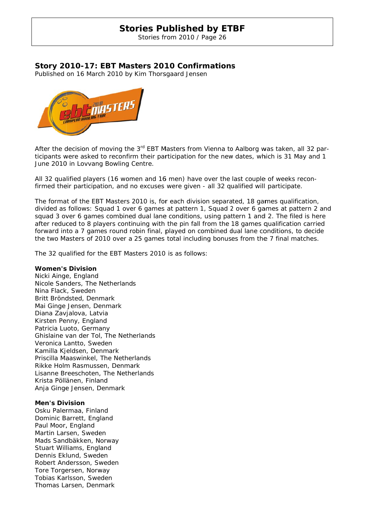Stories from 2010 / Page 26

# Story 2010-17: EBT Masters 2010 Confirmations

Published on 16 March 2010 by Kim Thorsgaard Jensen



After the decision of moving the 3<sup>rd</sup> EBT Masters from Vienna to Aalborg was taken, all 32 participants were asked to reconfirm their participation for the new dates, which is 31 May and 1 June 2010 in Lovvang Bowling Centre.

All 32 qualified players (16 women and 16 men) have over the last couple of weeks reconfirmed their participation, and no excuses were given - all 32 qualified will participate.

The format of the EBT Masters 2010 is, for each division separated, 18 games qualification, divided as follows: Squad 1 over 6 games at pattern 1, Squad 2 over 6 games at pattern 2 and squad 3 over 6 games combined dual lane conditions, using pattern 1 and 2. The filed is here after reduced to 8 players continuing with the pin fall from the 18 games qualification carried forward into a 7 games round robin final, played on combined dual lane conditions, to decide the two Masters of 2010 over a 25 games total including bonuses from the 7 final matches.

The 32 qualified for the EBT Masters 2010 is as follows:

### **Women's s Division**

Nicki Ainge, England Nicole Sanders, The Netherlands Nina Flack k, Sweden Britt Bröndsted, Denmark Mai Ginge Jensen, Denmark Diana Zavjalova, Latvia Kirsten Penny, England Patricia Luoto, Germany Ghislaine van der Tol, The Netherlands Veronica Lantto, Sweden Kamilla Kj eldsen, De nmark Priscilla Ma aaswinkel, The Nethe rlands Rikke Holm Rasmussen, Denmark Lisanne Breeschoten, The Netherlands Krista Pöllänen, Finland Anja Ginge Jensen, Denmark

### **Men's Div vision**

Osku Palermaa, Finland Dominic B arrett, Eng land Paul Moor, England Martin Larsen, Sweden Mads Sandbäkken, Norway Stuart Williams, England Dennis Eklund, Sweden Robert Andersson, Sweden Tore Torgersen, Norway Tobias Karlsson, Sweden Thomas Larsen, Denmark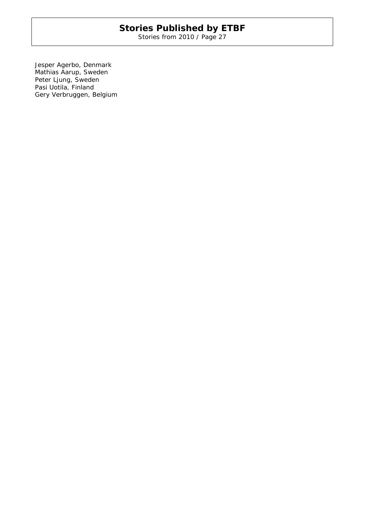Stories from 2010 / Page 27

Jesper Agerbo, Denmark Mathias Aarup, Sweden Peter Ljung, Sweden Pasi Uotila, Finland Gery Verbruggen, Belgium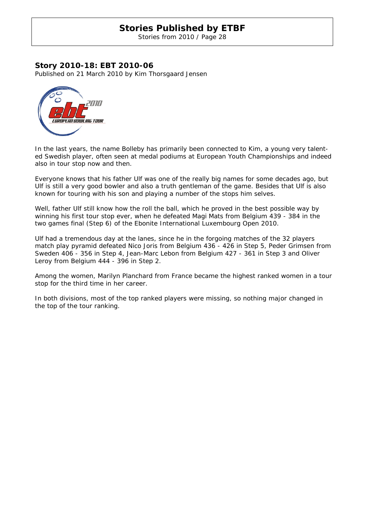Stories from 2010 / Page 28

# **Story 2010-18: EBT 2010-06**

Published on 21 March 2010 by Kim Thorsgaard Jensen



In the last years, the name Bolleby has primarily been connected to Kim, a young very talented Swedish player, often seen at medal podiums at European Youth Championships and indeed also in tour stop now and then.

Everyone knows that his father Ulf was one of the really big names for some decades ago, but Ulf is still a very good bowler and also a truth gentleman of the game. Besides that Ulf is also known for touring with his son and playing a number of the stops him selves.

Well, father Ulf still know how the roll the ball, which he proved in the best possible way by winning his first tour stop ever, when he defeated Magi Mats from Belgium 439 - 384 in the two games final (Step 6) of the Ebonite International Luxembourg Open 2010.

Ulf had a tremendous day at the lanes, since he in the forgoing matches of the 32 players match play pyramid defeated Nico Joris from Belgium 436 - 426 in Step 5, Peder Grimsen from Sweden 406 - 356 in Step 4, Jean-Marc Lebon from Belgium 427 - 361 in Step 3 and Oliver Leroy from Belgium 444 - 396 in Step 2.

Among the women, Marilyn Planchard from France became the highest ranked women in a tour stop for the third time in her career.

In both divisions, most of the top ranked players were missing, so nothing major changed in the top of the tour ranking.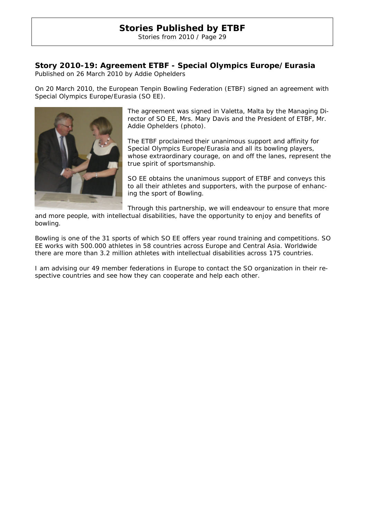Stories from 2010 / Page 29

# **Story 2010-19: Agreement ETBF - Special Olympics Europe/Eurasia**

Published on 26 March 2010 by Addie Ophelders

On 20 March 2010, the European Tenpin Bowling Federation (ETBF) signed an agreement with Special Olympics Europe/Eurasia (SO EE).



The agreement was signed in Valetta, Malta by the Managing Director of SO EE, Mrs. Mary Davis and the President of ETBF, Mr. Addie Ophelders (photo).

The ETBF proclaimed their unanimous support and affinity for Special Olympics Europe/Eurasia and all its bowling players, whose extraordinary courage, on and off the lanes, represent the true spirit of sportsmanship.

SO EE obtains the unanimous support of ETBF and conveys this to all their athletes and supporters, with the purpose of enhancing the sport of Bowling.

Through this partnership, we will endeavour to ensure that more

and more people, with intellectual disabilities, have the opportunity to enjoy and benefits of bowling.

Bowling is one of the 31 sports of which SO EE offers year round training and competitions. SO EE works with 500.000 athletes in 58 countries across Europe and Central Asia. Worldwide there are more than 3.2 million athletes with intellectual disabilities across 175 countries.

I am advising our 49 member federations in Europe to contact the SO organization in their respective countries and see how they can cooperate and help each other.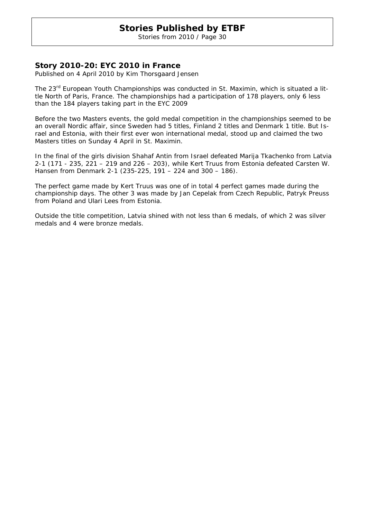Stories from 2010 / Page 30

# **Story 2010-20: EYC 2010 in France**

Published on 4 April 2010 by Kim Thorsgaard Jensen

The 23<sup>rd</sup> European Youth Championships was conducted in St. Maximin, which is situated a little North of Paris, France. The championships had a participation of 178 players, only 6 less than the 184 players taking part in the EYC 2009

Before the two Masters events, the gold medal competition in the championships seemed to be an overall Nordic affair, since Sweden had 5 titles, Finland 2 titles and Denmark 1 title. But Israel and Estonia, with their first ever won international medal, stood up and claimed the two Masters titles on Sunday 4 April in St. Maximin.

In the final of the girls division Shahaf Antin from Israel defeated Marija Tkachenko from Latvia 2-1 (171 - 235, 221 – 219 and 226 – 203), while Kert Truus from Estonia defeated Carsten W. Hansen from Denmark 2-1 (235-225, 191 – 224 and 300 – 186).

The perfect game made by Kert Truus was one of in total 4 perfect games made during the championship days. The other 3 was made by Jan Cepelak from Czech Republic, Patryk Preuss from Poland and Ulari Lees from Estonia.

Outside the title competition, Latvia shined with not less than 6 medals, of which 2 was silver medals and 4 were bronze medals.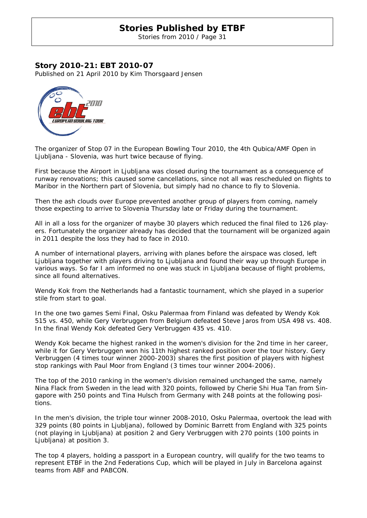Stories from 2010 / Page 31

# **Story 2010-21: EBT 2010-07**

Published on 21 April 2010 by Kim Thorsgaard Jensen



The organizer of Stop 07 in the European Bowling Tour 2010, the 4th Qubica/AMF Open in Ljubljana - Slovenia, was hurt twice because of flying.

First because the Airport in Ljubljana was closed during the tournament as a consequence of runway renovations; this caused some cancellations, since not all was rescheduled on flights to Maribor in the Northern part of Slovenia, but simply had no chance to fly to Slovenia.

Then the ash clouds over Europe prevented another group of players from coming, namely those expecting to arrive to Slovenia Thursday late or Friday during the tournament.

All in all a loss for the organizer of maybe 30 players which reduced the final filed to 126 players. Fortunately the organizer already has decided that the tournament will be organized again in 2011 despite the loss they had to face in 2010.

A number of international players, arriving with planes before the airspace was closed, left Ljubljana together with players driving to Ljubljana and found their way up through Europe in various ways. So far I am informed no one was stuck in Ljubljana because of flight problems, since all found alternatives.

Wendy Kok from the Netherlands had a fantastic tournament, which she played in a superior stile from start to goal.

In the one two games Semi Final, Osku Palermaa from Finland was defeated by Wendy Kok 515 vs. 450, while Gery Verbruggen from Belgium defeated Steve Jaros from USA 498 vs. 408. In the final Wendy Kok defeated Gery Verbruggen 435 vs. 410.

Wendy Kok became the highest ranked in the women's division for the 2nd time in her career, while it for Gery Verbruggen won his 11th highest ranked position over the tour history. Gery Verbruggen (4 times tour winner 2000-2003) shares the first position of players with highest stop rankings with Paul Moor from England (3 times tour winner 2004-2006).

The top of the 2010 ranking in the women's division remained unchanged the same, namely Nina Flack from Sweden in the lead with 320 points, followed by Cherie Shi Hua Tan from Singapore with 250 points and Tina Hulsch from Germany with 248 points at the following positions.

In the men's division, the triple tour winner 2008-2010, Osku Palermaa, overtook the lead with 329 points (80 points in Ljubljana), followed by Dominic Barrett from England with 325 points (not playing in Ljubljana) at position 2 and Gery Verbruggen with 270 points (100 points in Ljubljana) at position 3.

The top 4 players, holding a passport in a European country, will qualify for the two teams to represent ETBF in the 2nd Federations Cup, which will be played in July in Barcelona against teams from ABF and PABCON.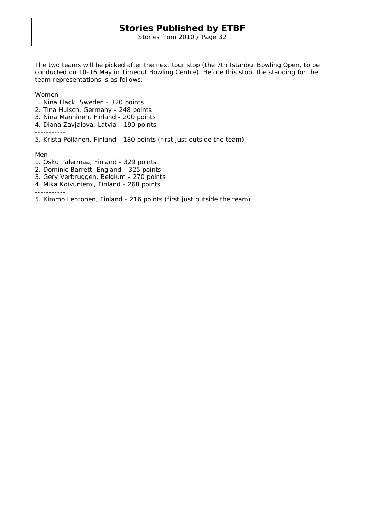Stories from 2010 / Page 32

The two teams will be picked after the next tour stop (the 7th Istanbul Bowling Open, to be conducted on 10-16 May in Timeout Bowling Centre). Before this stop, the standing for the team representations is as follows:

Women

- 1. Nina Flack, Sweden 320 points
- 2. Tina Hulsch, Germany 248 points
- 3. Nina Manninen, Finland 200 points
- 4. Diana Zavjalova, Latvia 190 points

-----------

5. Krista Pöllänen, Finland - 180 points (first just outside the team)

Men

- 1. Osku Palermaa, Finland 329 points
- 2. Dominic Barrett, England 325 points
- 3. Gery Verbruggen, Belgium 270 points
- 4. Mika Koivuniemi, Finland 268 points

-----------

5. Kimmo Lehtonen, Finland - 216 points (first just outside the team)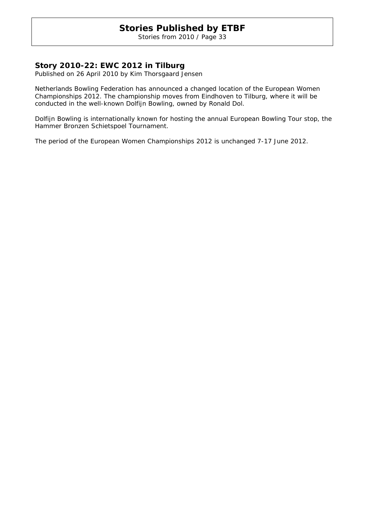Stories from 2010 / Page 33

# **Story 2010-22: EWC 2012 in Tilburg**

Published on 26 April 2010 by Kim Thorsgaard Jensen

Netherlands Bowling Federation has announced a changed location of the European Women Championships 2012. The championship moves from Eindhoven to Tilburg, where it will be conducted in the well-known Dolfijn Bowling, owned by Ronald Dol.

Dolfijn Bowling is internationally known for hosting the annual European Bowling Tour stop, the Hammer Bronzen Schietspoel Tournament.

The period of the European Women Championships 2012 is unchanged 7-17 June 2012.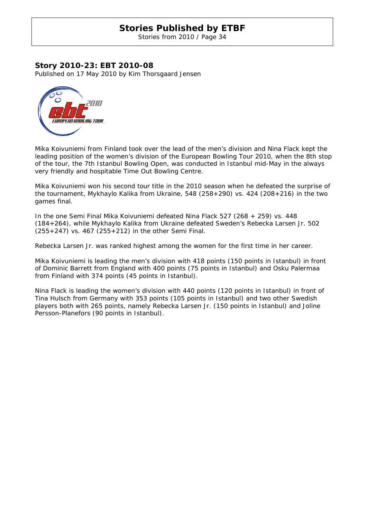Stories from 2010 / Page 34

# **Story 2010-23: EBT 2010-08**

Published on 17 May 2010 by Kim Thorsgaard Jensen



Mika Koivuniemi from Finland took over the lead of the men's division and Nina Flack kept the leading position of the women's division of the European Bowling Tour 2010, when the 8th stop of the tour, the 7th Istanbul Bowling Open, was conducted in Istanbul mid-May in the always very friendly and hospitable Time Out Bowling Centre.

Mika Koivuniemi won his second tour title in the 2010 season when he defeated the surprise of the tournament, Mykhaylo Kalika from Ukraine, 548 (258+290) vs. 424 (208+216) in the two games final.

In the one Semi Final Mika Koivuniemi defeated Nina Flack 527 (268 + 259) vs. 448 (184+264), while Mykhaylo Kalika from Ukraine defeated Sweden's Rebecka Larsen Jr. 502 (255+247) vs. 467 (255+212) in the other Semi Final.

Rebecka Larsen Jr. was ranked highest among the women for the first time in her career.

Mika Koivuniemi is leading the men's division with 418 points (150 points in Istanbul) in front of Dominic Barrett from England with 400 points (75 points in Istanbul) and Osku Palermaa from Finland with 374 points (45 points in Istanbul).

Nina Flack is leading the women's division with 440 points (120 points in Istanbul) in front of Tina Hulsch from Germany with 353 points (105 points in Istanbul) and two other Swedish players both with 265 points, namely Rebecka Larsen Jr. (150 points in Istanbul) and Joline Persson-Planefors (90 points in Istanbul).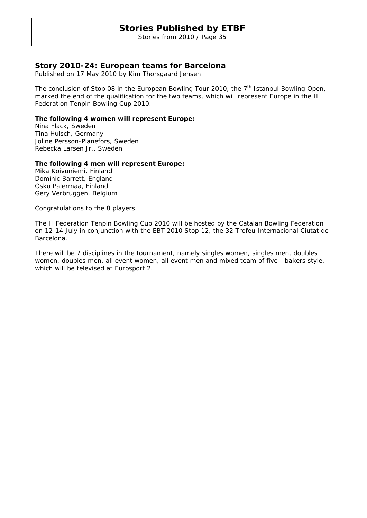Stories from 2010 / Page 35

# **Story 2010-24: European teams for Barcelona**

Published on 17 May 2010 by Kim Thorsgaard Jensen

The conclusion of Stop 08 in the European Bowling Tour 2010, the  $7<sup>th</sup>$  Istanbul Bowling Open, marked the end of the qualification for the two teams, which will represent Europe in the II Federation Tenpin Bowling Cup 2010.

### **The following 4 women will represent Europe:**

Nina Flack, Sweden Tina Hulsch, Germany Joline Persson-Planefors, Sweden Rebecka Larsen Jr., Sweden

### **The following 4 men will represent Europe:**

Mika Koivuniemi, Finland Dominic Barrett, England Osku Palermaa, Finland Gery Verbruggen, Belgium

Congratulations to the 8 players.

The II Federation Tenpin Bowling Cup 2010 will be hosted by the Catalan Bowling Federation on 12-14 July in conjunction with the EBT 2010 Stop 12, the 32 Trofeu Internacional Ciutat de Barcelona.

There will be 7 disciplines in the tournament, namely singles women, singles men, doubles women, doubles men, all event women, all event men and mixed team of five - bakers style, which will be televised at Eurosport 2.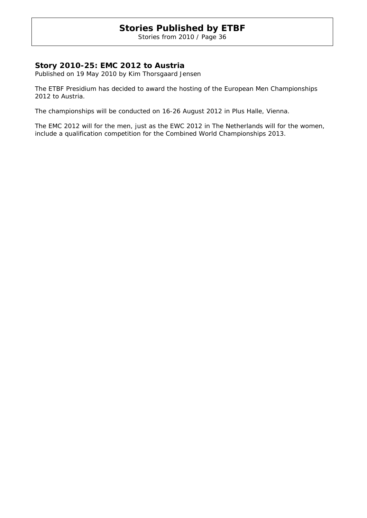Stories from 2010 / Page 36

# **Story 2010-25: EMC 2012 to Austria**

Published on 19 May 2010 by Kim Thorsgaard Jensen

The ETBF Presidium has decided to award the hosting of the European Men Championships 2012 to Austria.

The championships will be conducted on 16-26 August 2012 in Plus Halle, Vienna.

The EMC 2012 will for the men, just as the EWC 2012 in The Netherlands will for the women, include a qualification competition for the Combined World Championships 2013.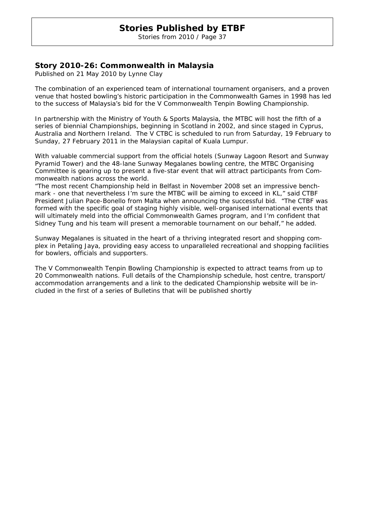Stories from 2010 / Page 37

### **Story 2010-26: Commonwealth in Malaysia**

Published on 21 May 2010 by Lynne Clay

The combination of an experienced team of international tournament organisers, and a proven venue that hosted bowling's historic participation in the Commonwealth Games in 1998 has led to the success of Malaysia's bid for the V Commonwealth Tenpin Bowling Championship.

In partnership with the Ministry of Youth & Sports Malaysia, the MTBC will host the fifth of a series of biennial Championships, beginning in Scotland in 2002, and since staged in Cyprus, Australia and Northern Ireland. The V CTBC is scheduled to run from Saturday, 19 February to Sunday, 27 February 2011 in the Malaysian capital of Kuala Lumpur.

With valuable commercial support from the official hotels (Sunway Lagoon Resort and Sunway Pyramid Tower) and the 48-lane Sunway Megalanes bowling centre, the MTBC Organising Committee is gearing up to present a five-star event that will attract participants from Commonwealth nations across the world.

"The most recent Championship held in Belfast in November 2008 set an impressive benchmark - one that nevertheless I'm sure the MTBC will be aiming to exceed in KL," said CTBF President Julian Pace-Bonello from Malta when announcing the successful bid. "The CTBF was formed with the specific goal of staging highly visible, well-organised international events that will ultimately meld into the official Commonwealth Games program, and I'm confident that Sidney Tung and his team will present a memorable tournament on our behalf," he added.

Sunway Megalanes is situated in the heart of a thriving integrated resort and shopping complex in Petaling Jaya, providing easy access to unparalleled recreational and shopping facilities for bowlers, officials and supporters.

The V Commonwealth Tenpin Bowling Championship is expected to attract teams from up to 20 Commonwealth nations. Full details of the Championship schedule, host centre, transport/ accommodation arrangements and a link to the dedicated Championship website will be included in the first of a series of Bulletins that will be published shortly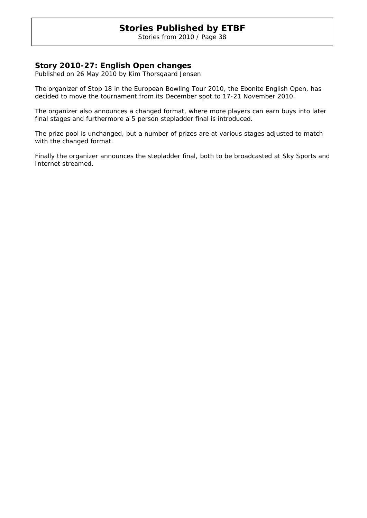Stories from 2010 / Page 38

### **Story 2010-27: English Open changes**

Published on 26 May 2010 by Kim Thorsgaard Jensen

The organizer of Stop 18 in the European Bowling Tour 2010, the Ebonite English Open, has decided to move the tournament from its December spot to 17-21 November 2010.

The organizer also announces a changed format, where more players can earn buys into later final stages and furthermore a 5 person stepladder final is introduced.

The prize pool is unchanged, but a number of prizes are at various stages adjusted to match with the changed format.

Finally the organizer announces the stepladder final, both to be broadcasted at Sky Sports and Internet streamed.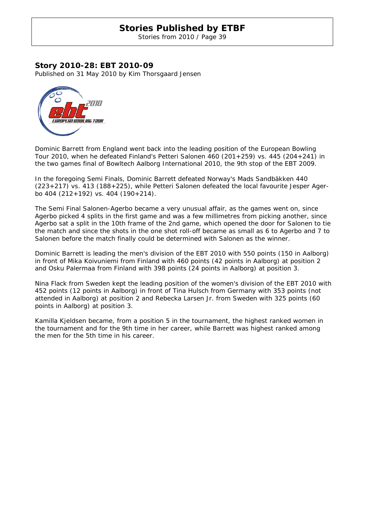Stories from 2010 / Page 39

### **Story 2010-28: EBT 2010-09**

Published on 31 May 2010 by Kim Thorsgaard Jensen



Dominic Barrett from England went back into the leading position of the European Bowling Tour 2010, when he defeated Finland's Petteri Salonen 460 (201+259) vs. 445 (204+241) in the two games final of Bowltech Aalborg International 2010, the 9th stop of the EBT 2009.

In the foregoing Semi Finals, Dominic Barrett defeated Norway's Mads Sandbäkken 440 (223+217) vs. 413 (188+225), while Petteri Salonen defeated the local favourite Jesper Agerbo 404 (212+192) vs. 404 (190+214).

The Semi Final Salonen-Agerbo became a very unusual affair, as the games went on, since Agerbo picked 4 splits in the first game and was a few millimetres from picking another, since Agerbo sat a split in the 10th frame of the 2nd game, which opened the door for Salonen to tie the match and since the shots in the one shot roll-off became as small as 6 to Agerbo and 7 to Salonen before the match finally could be determined with Salonen as the winner.

Dominic Barrett is leading the men's division of the EBT 2010 with 550 points (150 in Aalborg) in front of Mika Koivuniemi from Finland with 460 points (42 points in Aalborg) at position 2 and Osku Palermaa from Finland with 398 points (24 points in Aalborg) at position 3.

Nina Flack from Sweden kept the leading position of the women's division of the EBT 2010 with 452 points (12 points in Aalborg) in front of Tina Hulsch from Germany with 353 points (not attended in Aalborg) at position 2 and Rebecka Larsen Jr. from Sweden with 325 points (60 points in Aalborg) at position 3.

Kamilla Kjeldsen became, from a position 5 in the tournament, the highest ranked women in the tournament and for the 9th time in her career, while Barrett was highest ranked among the men for the 5th time in his career.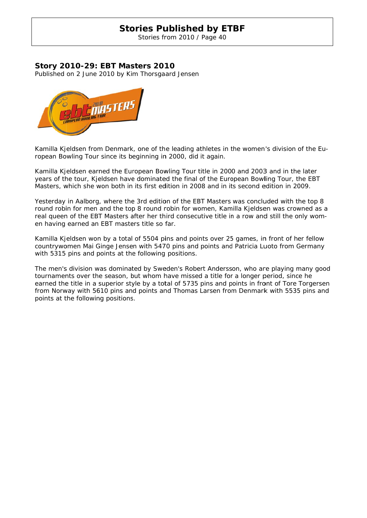Stories from 2010 / Page 40

### **Story 2010-29: EBT Masters 2010**

Published on 2 June 2010 by Kim Thorsgaard Jensen



Kamilla Kjeldsen from Denmark, one of the leading athletes in the women's division of the European Bowling Tour since its beginning in 2000, did it again.

Kamilla Kjeldsen earned the European Bowling Tour title in 2000 and 2003 and in the later years of the tour, Kjeldsen have dominated the final of the European Bowling Tour, the EBT Masters, which she won both in its first edition in 2008 and in its second edition in 2009.

Yesterday in Aalborg, where the 3rd edition of the EBT Masters was concluded with the top 8 round robin for men and the top 8 round robin for women, Kamilla Kjeldsen was crowned as a real queen of the EBT Masters after her third consecutive title in a row and still the only women having earned an EBT masters title so far.

Kamilla Kjeldsen won by a total of 5504 pins and points over 25 games, in front of her fellow countrywomen Mai Ginge Jensen with 5470 pins and points and Patricia Luoto from Germany with 5315 pins and points at the following positions.

The men's division was dominated by Sweden's Robert Andersson, who are playing many good tournaments over the season, but whom have missed a title for a longer period, since he earned the title in a superior style by a total of 5735 pins and points in front of Tore Torgersen from Norway with 5610 pins and points and Thomas Larsen from Denmark with 5535 pins and points at the following positions.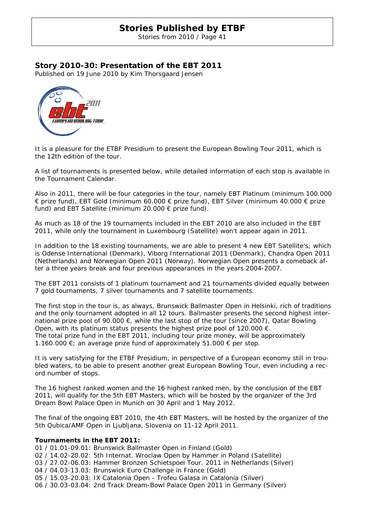Stories from 2010 / Page 41

### **Story 2010-30: Presentation of the EBT 2011**

Published on 19 June 2010 by Kim Thorsgaard Jensen



It is a pleasure for the ETBF Presidium to present the European Bowling Tour 2011, which is the 12th edition of the tour.

A list of tournaments is presented below, while detailed information of each stop is available in the Tournament Calendar.

Also in 2011, there will be four categories in the tour, namely EBT Platinum (minimum 100.000 € prize fund), EBT Gold (minimum 60.000 € prize fund), EBT Silver (minimum 40.000 € prize fund) and EBT Satellite (minimum 20.000  $\epsilon$  prize fund).

As much as 18 of the 19 tournaments included in the EBT 2010 are also included in the EBT 2011, while only the tournament in Luxembourg (Satellite) won't appear again in 2011.

In addition to the 18 existing tournaments, we are able to present 4 new EBT Satellite's; which is Odense International (Denmark), Viborg International 2011 (Denmark), Chandra Open 2011 (Netherlands) and Norwegian Open 2011 (Norway). Norwegian Open presents a comeback after a three years break and four previous appearances in the years 2004-2007.

The EBT 2011 consists of 1 platinum tournament and 21 tournaments divided equally between 7 gold tournaments, 7 silver tournaments and 7 satellite tournaments.

The first stop in the tour is, as always, Brunswick Ballmaster Open in Helsinki, rich of traditions and the only tournament adopted in all 12 tours. Ballmaster presents the second highest international prize pool of 90.000  $\epsilon$ , while the last stop of the tour (since 2007), Qatar Bowling Open, with its platinum status presents the highest prize pool of 120.000  $\epsilon$ . The total prize fund in the EBT 2011, including tour prize money, will be approximately 1.160.000 €; an average prize fund of approximately 51.000 € per stop.

It is very satisfying for the ETBF Presidium, in perspective of a European economy still in troubled waters, to be able to present another great European Bowling Tour, even including a record number of stops.

The 16 highest ranked women and the 16 highest ranked men, by the conclusion of the EBT 2011, will qualify for the 5th EBT Masters, which will be hosted by the organizer of the 3rd Dream Bowl Palace Open in Munich on 30 April and 1 May 2012.

The final of the ongoing EBT 2010, the 4th EBT Masters, will be hosted by the organizer of the 5th Qubica/AMF Open in Ljubljana, Slovenia on 11-12 April 2011.

### **Tournaments in the EBT 2011:**

01 / 01.01-09.01: Brunswick Ballmaster Open in Finland (Gold) 02 / 14.02-20.02: 5th Internat. Wroclaw Open by Hammer in Poland (Satellite) 03 / 27.02-06.03: Hammer Bronzen Schietspoel Tour. 2011 in Netherlands (Silver) 04 / 04.03-13.03: Brunswick Euro Challenge in France (Gold) 05 / 15.03-20.03: IX Catalonia Open - Trofeu Galasa in Catalonia (Silver) 06 / 30.03-03.04: 2nd Track Dream-Bowl Palace Open 2011 in Germany (Silver)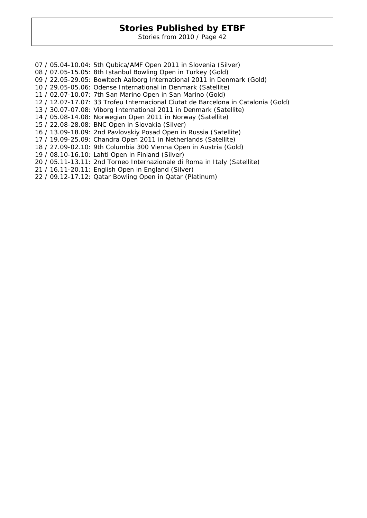Stories from 2010 / Page 42

07 / 05.04-10.04: 5th Qubica/AMF Open 2011 in Slovenia (Silver) 08 / 07.05-15.05: 8th Istanbul Bowling Open in Turkey (Gold) 09 / 22.05-29.05: Bowltech Aalborg International 2011 in Denmark (Gold) 10 / 29.05-05.06: Odense International in Denmark (Satellite) 11 / 02.07-10.07: 7th San Marino Open in San Marino (Gold) 12 / 12.07-17.07: 33 Trofeu Internacional Ciutat de Barcelona in Catalonia (Gold) 13 / 30.07-07.08: Viborg International 2011 in Denmark (Satellite) 14 / 05.08-14.08: Norwegian Open 2011 in Norway (Satellite) 15 / 22.08-28.08: BNC Open in Slovakia (Silver) 16 / 13.09-18.09: 2nd Pavlovskiy Posad Open in Russia (Satellite) 17 / 19.09-25.09: Chandra Open 2011 in Netherlands (Satellite) 18 / 27.09-02.10: 9th Columbia 300 Vienna Open in Austria (Gold) 19 / 08.10-16.10: Lahti Open in Finland (Silver) 20 / 05.11-13.11: 2nd Torneo Internazionale di Roma in Italy (Satellite) 21 / 16.11-20.11: English Open in England (Silver) 22 / 09.12-17.12: Qatar Bowling Open in Qatar (Platinum)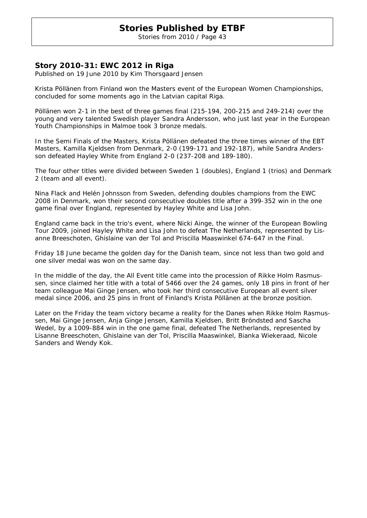Stories from 2010 / Page 43

### **Story 2010-31: EWC 2012 in Riga**

Published on 19 June 2010 by Kim Thorsgaard Jensen

Krista Pöllänen from Finland won the Masters event of the European Women Championships, concluded for some moments ago in the Latvian capital Riga.

Pöllänen won 2-1 in the best of three games final (215-194, 200-215 and 249-214) over the young and very talented Swedish player Sandra Andersson, who just last year in the European Youth Championships in Malmoe took 3 bronze medals.

In the Semi Finals of the Masters, Krista Pöllänen defeated the three times winner of the EBT Masters, Kamilla Kjeldsen from Denmark, 2-0 (199-171 and 192-187), while Sandra Andersson defeated Hayley White from England 2-0 (237-208 and 189-180).

The four other titles were divided between Sweden 1 (doubles), England 1 (trios) and Denmark 2 (team and all event).

Nina Flack and Helén Johnsson from Sweden, defending doubles champions from the EWC 2008 in Denmark, won their second consecutive doubles title after a 399-352 win in the one game final over England, represented by Hayley White and Lisa John.

England came back in the trio's event, where Nicki Ainge, the winner of the European Bowling Tour 2009, joined Hayley White and Lisa John to defeat The Netherlands, represented by Lisanne Breeschoten, Ghislaine van der Tol and Priscilla Maaswinkel 674-647 in the Final.

Friday 18 June became the golden day for the Danish team, since not less than two gold and one silver medal was won on the same day.

In the middle of the day, the All Event title came into the procession of Rikke Holm Rasmussen, since claimed her title with a total of 5466 over the 24 games, only 18 pins in front of her team colleague Mai Ginge Jensen, who took her third consecutive European all event silver medal since 2006, and 25 pins in front of Finland's Krista Pöllänen at the bronze position.

Later on the Friday the team victory became a reality for the Danes when Rikke Holm Rasmussen, Mai Ginge Jensen, Anja Ginge Jensen, Kamilla Kjeldsen, Britt Bröndsted and Sascha Wedel, by a 1009-884 win in the one game final, defeated The Netherlands, represented by Lisanne Breeschoten, Ghislaine van der Tol, Priscilla Maaswinkel, Bianka Wiekeraad, Nicole Sanders and Wendy Kok.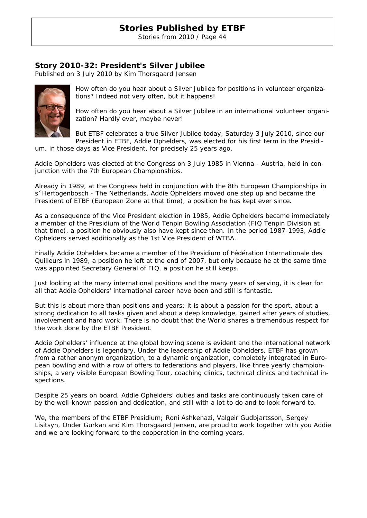Stories from 2010 / Page 44

### **Story 2010-32: President's Silver Jubilee**

Published on 3 July 2010 by Kim Thorsgaard Jensen



How often do you hear about a Silver Jubilee for positions in volunteer organizations? Indeed not very often, but it happens!

How often do you hear about a Silver Jubilee in an international volunteer organization? Hardly ever, maybe never!

But ETBF celebrates a true Silver Jubilee today, Saturday 3 July 2010, since our President in ETBF, Addie Ophelders, was elected for his first term in the Presidi-

um, in those days as Vice President, for precisely 25 years ago.

Addie Ophelders was elected at the Congress on 3 July 1985 in Vienna - Austria, held in conjunction with the 7th European Championships.

Already in 1989, at the Congress held in conjunction with the 8th European Championships in s´Hertogenbosch - The Netherlands, Addie Ophelders moved one step up and became the President of ETBF (European Zone at that time), a position he has kept ever since.

As a consequence of the Vice President election in 1985, Addie Ophelders became immediately a member of the Presidium of the World Tenpin Bowling Association (FIQ Tenpin Division at that time), a position he obviously also have kept since then. In the period 1987-1993, Addie Ophelders served additionally as the 1st Vice President of WTBA.

Finally Addie Ophelders became a member of the Presidium of Fédération Internationale des Quilleurs in 1989, a position he left at the end of 2007, but only because he at the same time was appointed Secretary General of FIQ, a position he still keeps.

Just looking at the many international positions and the many years of serving, it is clear for all that Addie Ophelders' international career have been and still is fantastic.

But this is about more than positions and years; it is about a passion for the sport, about a strong dedication to all tasks given and about a deep knowledge, gained after years of studies, involvement and hard work. There is no doubt that the World shares a tremendous respect for the work done by the ETBF President.

Addie Ophelders' influence at the global bowling scene is evident and the international network of Addie Ophelders is legendary. Under the leadership of Addie Ophelders, ETBF has grown from a rather anonym organization, to a dynamic organization, completely integrated in European bowling and with a row of offers to federations and players, like three yearly championships, a very visible European Bowling Tour, coaching clinics, technical clinics and technical inspections.

Despite 25 years on board, Addie Ophelders' duties and tasks are continuously taken care of by the well-known passion and dedication, and still with a lot to do and to look forward to.

We, the members of the ETBF Presidium; Roni Ashkenazi, Valgeir Gudbjartsson, Sergey Lisitsyn, Onder Gurkan and Kim Thorsgaard Jensen, are proud to work together with you Addie and we are looking forward to the cooperation in the coming years.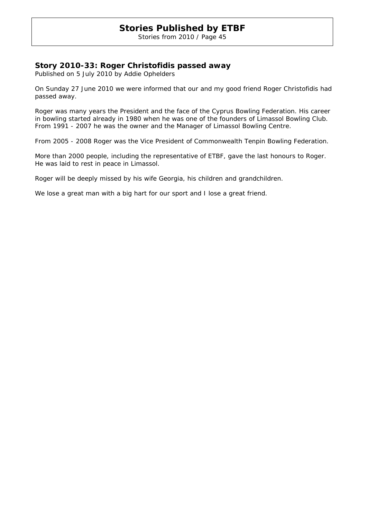Stories from 2010 / Page 45

### **Story 2010-33: Roger Christofidis passed away**

Published on 5 July 2010 by Addie Ophelders

On Sunday 27 June 2010 we were informed that our and my good friend Roger Christofidis had passed away.

Roger was many years the President and the face of the Cyprus Bowling Federation. His career in bowling started already in 1980 when he was one of the founders of Limassol Bowling Club. From 1991 - 2007 he was the owner and the Manager of Limassol Bowling Centre.

From 2005 - 2008 Roger was the Vice President of Commonwealth Tenpin Bowling Federation.

More than 2000 people, including the representative of ETBF, gave the last honours to Roger. He was laid to rest in peace in Limassol.

Roger will be deeply missed by his wife Georgia, his children and grandchildren.

We lose a great man with a big hart for our sport and I lose a great friend.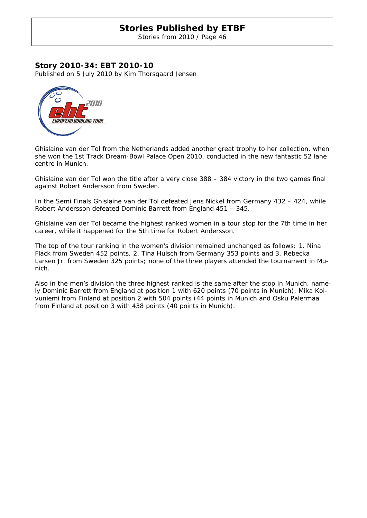Stories from 2010 / Page 46

### **Story 2010-34: EBT 2010-10**

Published on 5 July 2010 by Kim Thorsgaard Jensen



Ghislaine van der Tol from the Netherlands added another great trophy to her collection, when she won the 1st Track Dream-Bowl Palace Open 2010, conducted in the new fantastic 52 lane centre in Munich.

Ghislaine van der Tol won the title after a very close 388 – 384 victory in the two games final against Robert Andersson from Sweden.

In the Semi Finals Ghislaine van der Tol defeated Jens Nickel from Germany 432 – 424, while Robert Andersson defeated Dominic Barrett from England 451 – 345.

Ghislaine van der Tol became the highest ranked women in a tour stop for the 7th time in her career, while it happened for the 5th time for Robert Andersson.

The top of the tour ranking in the women's division remained unchanged as follows: 1. Nina Flack from Sweden 452 points, 2. Tina Hulsch from Germany 353 points and 3. Rebecka Larsen Jr. from Sweden 325 points; none of the three players attended the tournament in Munich.

Also in the men's division the three highest ranked is the same after the stop in Munich, namely Dominic Barrett from England at position 1 with 620 points (70 points in Munich), Mika Koivuniemi from Finland at position 2 with 504 points (44 points in Munich and Osku Palermaa from Finland at position 3 with 438 points (40 points in Munich).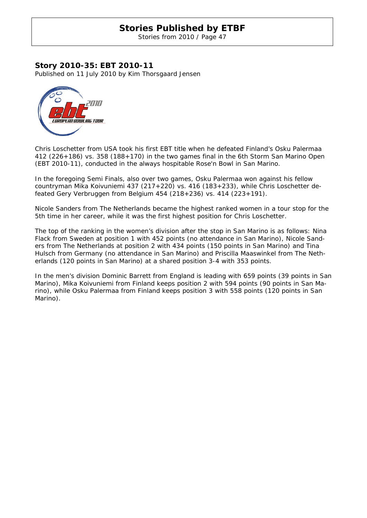Stories from 2010 / Page 47

### **Story 2010-35: EBT 2010-11**

Published on 11 July 2010 by Kim Thorsgaard Jensen



Chris Loschetter from USA took his first EBT title when he defeated Finland's Osku Palermaa 412 (226+186) vs. 358 (188+170) in the two games final in the 6th Storm San Marino Open (EBT 2010-11), conducted in the always hospitable Rose'n Bowl in San Marino.

In the foregoing Semi Finals, also over two games, Osku Palermaa won against his fellow countryman Mika Koivuniemi 437 (217+220) vs. 416 (183+233), while Chris Loschetter defeated Gery Verbruggen from Belgium 454 (218+236) vs. 414 (223+191).

Nicole Sanders from The Netherlands became the highest ranked women in a tour stop for the 5th time in her career, while it was the first highest position for Chris Loschetter.

The top of the ranking in the women's division after the stop in San Marino is as follows: Nina Flack from Sweden at position 1 with 452 points (no attendance in San Marino), Nicole Sanders from The Netherlands at position 2 with 434 points (150 points in San Marino) and Tina Hulsch from Germany (no attendance in San Marino) and Priscilla Maaswinkel from The Netherlands (120 points in San Marino) at a shared position 3-4 with 353 points.

In the men's division Dominic Barrett from England is leading with 659 points (39 points in San Marino), Mika Koivuniemi from Finland keeps position 2 with 594 points (90 points in San Marino), while Osku Palermaa from Finland keeps position 3 with 558 points (120 points in San Marino).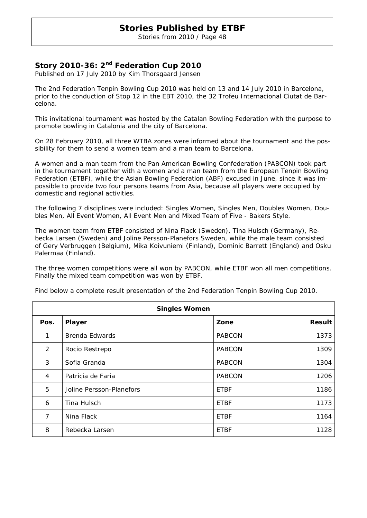Stories from 2010 / Page 48

### **Story 2010-36: 2nd Federation Cup 2010**

Published on 17 July 2010 by Kim Thorsgaard Jensen

The 2nd Federation Tenpin Bowling Cup 2010 was held on 13 and 14 July 2010 in Barcelona, prior to the conduction of Stop 12 in the EBT 2010, the 32 Trofeu Internacional Ciutat de Barcelona.

This invitational tournament was hosted by the Catalan Bowling Federation with the purpose to promote bowling in Catalonia and the city of Barcelona.

On 28 February 2010, all three WTBA zones were informed about the tournament and the possibility for them to send a women team and a man team to Barcelona.

A women and a man team from the Pan American Bowling Confederation (PABCON) took part in the tournament together with a women and a man team from the European Tenpin Bowling Federation (ETBF), while the Asian Bowling Federation (ABF) excused in June, since it was impossible to provide two four persons teams from Asia, because all players were occupied by domestic and regional activities.

The following 7 disciplines were included: Singles Women, Singles Men, Doubles Women, Doubles Men, All Event Women, All Event Men and Mixed Team of Five - Bakers Style.

The women team from ETBF consisted of Nina Flack (Sweden), Tina Hulsch (Germany), Rebecka Larsen (Sweden) and Joline Persson-Planefors Sweden, while the male team consisted of Gery Verbruggen (Belgium), Mika Koivuniemi (Finland), Dominic Barrett (England) and Osku Palermaa (Finland).

The three women competitions were all won by PABCON, while ETBF won all men competitions. Finally the mixed team competition was won by ETBF.

| <b>Singles Women</b> |                          |               |               |
|----------------------|--------------------------|---------------|---------------|
| Pos.                 | Player                   | Zone          | <b>Result</b> |
| $\mathbf{1}$         | <b>Brenda Edwards</b>    | <b>PABCON</b> | 1373          |
| 2                    | Rocio Restrepo           | <b>PABCON</b> | 1309          |
| 3                    | Sofia Granda             | <b>PABCON</b> | 1304          |
| 4                    | Patricia de Faria        | <b>PABCON</b> | 1206          |
| 5                    | Joline Persson-Planefors | <b>ETBF</b>   | 1186          |
| 6                    | Tina Hulsch              | <b>ETBF</b>   | 1173          |
| 7                    | Nina Flack               | <b>ETBF</b>   | 1164          |
| 8                    | Rebecka Larsen           | <b>ETBF</b>   | 1128          |

Find below a complete result presentation of the 2nd Federation Tenpin Bowling Cup 2010.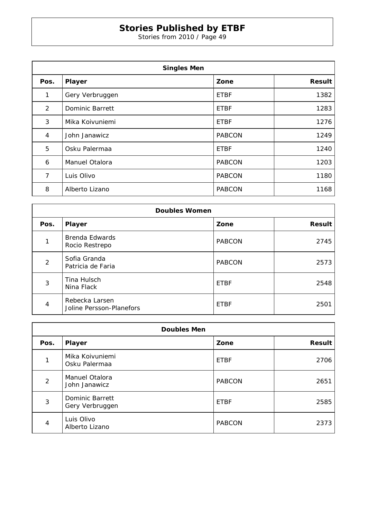Stories from 2010 / Page 49

| <b>Singles Men</b> |                 |               |               |
|--------------------|-----------------|---------------|---------------|
| Pos.               | Player          | Zone          | <b>Result</b> |
| 1                  | Gery Verbruggen | <b>ETBF</b>   | 1382          |
| 2                  | Dominic Barrett | <b>ETBF</b>   | 1283          |
| 3                  | Mika Koivuniemi | <b>ETBF</b>   | 1276          |
| 4                  | John Janawicz   | <b>PABCON</b> | 1249          |
| 5                  | Osku Palermaa   | <b>ETBF</b>   | 1240          |
| 6                  | Manuel Otalora  | <b>PABCON</b> | 1203          |
| 7                  | Luis Olivo      | <b>PABCON</b> | 1180          |
| 8                  | Alberto Lizano  | <b>PABCON</b> | 1168          |

| <b>Doubles Women</b> |                                            |               |               |
|----------------------|--------------------------------------------|---------------|---------------|
| Pos.                 | <b>Player</b>                              | Zone          | <b>Result</b> |
|                      | <b>Brenda Edwards</b><br>Rocio Restrepo    | <b>PABCON</b> | 2745          |
| 2                    | Sofia Granda<br>Patricia de Faria          | <b>PABCON</b> | 2573          |
| 3                    | Tina Hulsch<br>Nina Flack                  | <b>ETBF</b>   | 2548          |
| 4                    | Rebecka Larsen<br>Joline Persson-Planefors | <b>ETBF</b>   | 2501          |

| <b>Doubles Men</b> |                                    |               |               |
|--------------------|------------------------------------|---------------|---------------|
| Pos.               | Player                             | Zone          | <b>Result</b> |
|                    | Mika Koivuniemi<br>Osku Palermaa   | <b>ETBF</b>   | 2706          |
| 2                  | Manuel Otalora<br>John Janawicz    | <b>PABCON</b> | 2651          |
| 3                  | Dominic Barrett<br>Gery Verbruggen | <b>ETBF</b>   | 2585          |
| 4                  | Luis Olivo<br>Alberto Lizano       | <b>PABCON</b> | 2373          |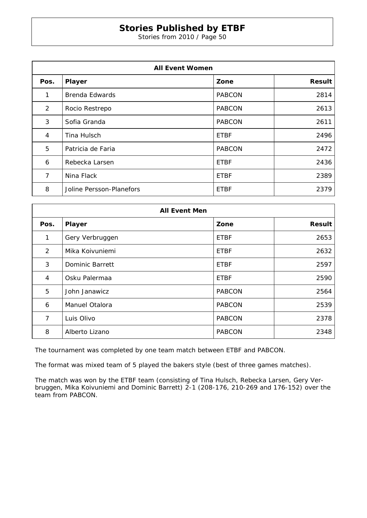Stories from 2010 / Page 50

| <b>All Event Women</b> |                          |               |               |
|------------------------|--------------------------|---------------|---------------|
| Pos.                   | Player                   | Zone          | <b>Result</b> |
| 1                      | Brenda Edwards           | <b>PABCON</b> | 2814          |
| 2                      | Rocio Restrepo           | <b>PABCON</b> | 2613          |
| 3                      | Sofia Granda             | <b>PABCON</b> | 2611          |
| 4                      | Tina Hulsch              | <b>ETBF</b>   | 2496          |
| 5                      | Patricia de Faria        | <b>PABCON</b> | 2472          |
| 6                      | Rebecka Larsen           | <b>ETBF</b>   | 2436          |
| 7                      | Nina Flack               | <b>ETBF</b>   | 2389          |
| 8                      | Joline Persson-Planefors | <b>ETBF</b>   | 2379          |

| <b>All Event Men</b> |                        |               |               |
|----------------------|------------------------|---------------|---------------|
| Pos.                 | Player                 | Zone          | <b>Result</b> |
| 1                    | Gery Verbruggen        | <b>ETBF</b>   | 2653          |
| 2                    | Mika Koivuniemi        | <b>ETBF</b>   | 2632          |
| 3                    | <b>Dominic Barrett</b> | <b>ETBF</b>   | 2597          |
| 4                    | Osku Palermaa          | <b>ETBF</b>   | 2590          |
| 5                    | John Janawicz          | <b>PABCON</b> | 2564          |
| 6                    | Manuel Otalora         | <b>PABCON</b> | 2539          |
| 7                    | Luis Olivo             | <b>PABCON</b> | 2378          |
| 8                    | Alberto Lizano         | <b>PABCON</b> | 2348          |

The tournament was completed by one team match between ETBF and PABCON.

The format was mixed team of 5 played the bakers style (best of three games matches).

The match was won by the ETBF team (consisting of Tina Hulsch, Rebecka Larsen, Gery Verbruggen, Mika Koivuniemi and Dominic Barrett) 2-1 (208-176, 210-269 and 176-152) over the team from PABCON.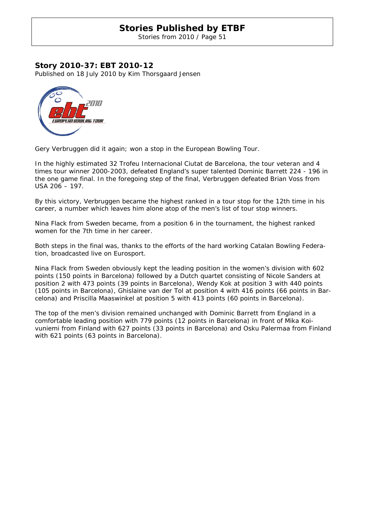Stories from 2010 / Page 51

### **Story 2010-37: EBT 2010-12**

Published on 18 July 2010 by Kim Thorsgaard Jensen



Gery Verbruggen did it again; won a stop in the European Bowling Tour.

In the highly estimated 32 Trofeu Internacional Ciutat de Barcelona, the tour veteran and 4 times tour winner 2000-2003, defeated England's super talented Dominic Barrett 224 - 196 in the one game final. In the foregoing step of the final, Verbruggen defeated Brian Voss from USA 206 – 197.

By this victory, Verbruggen became the highest ranked in a tour stop for the 12th time in his career, a number which leaves him alone atop of the men's list of tour stop winners.

Nina Flack from Sweden became, from a position 6 in the tournament, the highest ranked women for the 7th time in her career.

Both steps in the final was, thanks to the efforts of the hard working Catalan Bowling Federation, broadcasted live on Eurosport.

Nina Flack from Sweden obviously kept the leading position in the women's division with 602 points (150 points in Barcelona) followed by a Dutch quartet consisting of Nicole Sanders at position 2 with 473 points (39 points in Barcelona), Wendy Kok at position 3 with 440 points (105 points in Barcelona), Ghislaine van der Tol at position 4 with 416 points (66 points in Barcelona) and Priscilla Maaswinkel at position 5 with 413 points (60 points in Barcelona).

The top of the men's division remained unchanged with Dominic Barrett from England in a comfortable leading position with 779 points (12 points in Barcelona) in front of Mika Koivuniemi from Finland with 627 points (33 points in Barcelona) and Osku Palermaa from Finland with 621 points (63 points in Barcelona).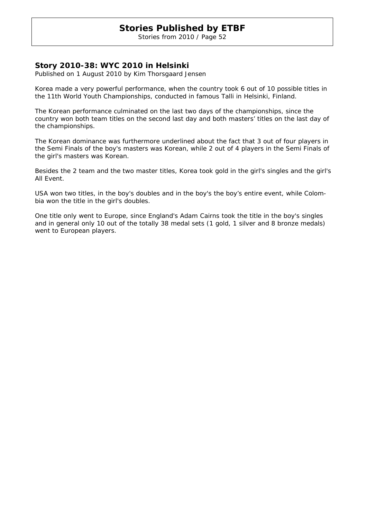Stories from 2010 / Page 52

### **Story 2010-38: WYC 2010 in Helsinki**

Published on 1 August 2010 by Kim Thorsgaard Jensen

Korea made a very powerful performance, when the country took 6 out of 10 possible titles in the 11th World Youth Championships, conducted in famous Talli in Helsinki, Finland.

The Korean performance culminated on the last two days of the championships, since the country won both team titles on the second last day and both masters' titles on the last day of the championships.

The Korean dominance was furthermore underlined about the fact that 3 out of four players in the Semi Finals of the boy's masters was Korean, while 2 out of 4 players in the Semi Finals of the girl's masters was Korean.

Besides the 2 team and the two master titles, Korea took gold in the girl's singles and the girl's All Event.

USA won two titles, in the boy's doubles and in the boy's the boy's entire event, while Colombia won the title in the girl's doubles.

One title only went to Europe, since England's Adam Cairns took the title in the boy's singles and in general only 10 out of the totally 38 medal sets (1 gold, 1 silver and 8 bronze medals) went to European players.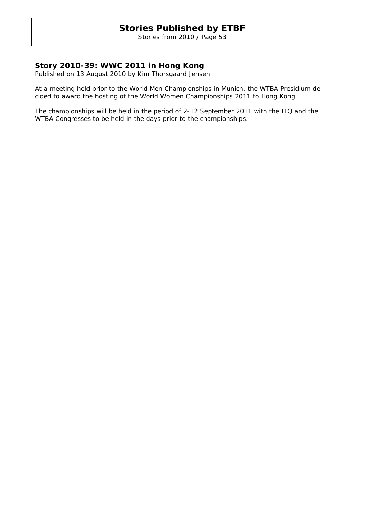Stories from 2010 / Page 53

### **Story 2010-39: WWC 2011 in Hong Kong**

Published on 13 August 2010 by Kim Thorsgaard Jensen

At a meeting held prior to the World Men Championships in Munich, the WTBA Presidium decided to award the hosting of the World Women Championships 2011 to Hong Kong.

The championships will be held in the period of 2-12 September 2011 with the FIQ and the WTBA Congresses to be held in the days prior to the championships.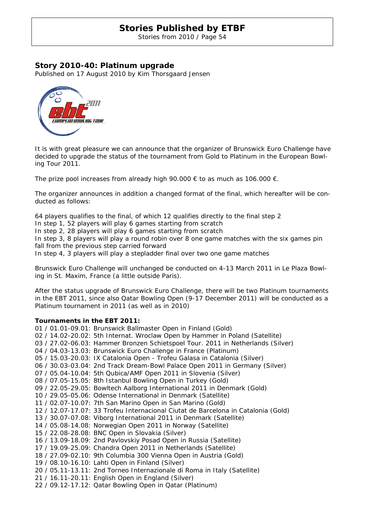Stories from 2010 / Page 54

### **Story 2010-40: Platinum upgrade**

Published on 17 August 2010 by Kim Thorsgaard Jensen



It is with great pleasure we can announce that the organizer of Brunswick Euro Challenge have decided to upgrade the status of the tournament from Gold to Platinum in the European Bowling Tour 2011.

The prize pool increases from already high 90.000  $\epsilon$  to as much as 106.000  $\epsilon$ .

The organizer announces in addition a changed format of the final, which hereafter will be conducted as follows:

64 players qualifies to the final, of which 12 qualifies directly to the final step 2

In step 1, 52 players will play 6 games starting from scratch

In step 2, 28 players will play 6 games starting from scratch

In step 3, 8 players will play a round robin over 8 one game matches with the six games pin fall from the previous step carried forward

In step 4, 3 players will play a stepladder final over two one game matches

Brunswick Euro Challenge will unchanged be conducted on 4-13 March 2011 in Le Plaza Bowling in St. Maxim, France (a little outside Paris).

After the status upgrade of Brunswick Euro Challenge, there will be two Platinum tournaments in the EBT 2011, since also Qatar Bowling Open (9-17 December 2011) will be conducted as a Platinum tournament in 2011 (as well as in 2010)

#### **Tournaments in the EBT 2011:**

01 / 01.01-09.01: Brunswick Ballmaster Open in Finland (Gold) 02 / 14.02-20.02: 5th Internat. Wroclaw Open by Hammer in Poland (Satellite) 03 / 27.02-06.03: Hammer Bronzen Schietspoel Tour. 2011 in Netherlands (Silver) 04 / 04.03-13.03: Brunswick Euro Challenge in France (Platinum) 05 / 15.03-20.03: IX Catalonia Open - Trofeu Galasa in Catalonia (Silver) 06 / 30.03-03.04: 2nd Track Dream-Bowl Palace Open 2011 in Germany (Silver) 07 / 05.04-10.04: 5th Qubica/AMF Open 2011 in Slovenia (Silver) 08 / 07.05-15.05: 8th Istanbul Bowling Open in Turkey (Gold) 09 / 22.05-29.05: Bowltech Aalborg International 2011 in Denmark (Gold) 10 / 29.05-05.06: Odense International in Denmark (Satellite) 11 / 02.07-10.07: 7th San Marino Open in San Marino (Gold) 12 / 12.07-17.07: 33 Trofeu Internacional Ciutat de Barcelona in Catalonia (Gold) 13 / 30.07-07.08: Viborg International 2011 in Denmark (Satellite) 14 / 05.08-14.08: Norwegian Open 2011 in Norway (Satellite) 15 / 22.08-28.08: BNC Open in Slovakia (Silver) 16 / 13.09-18.09: 2nd Pavlovskiy Posad Open in Russia (Satellite) 17 / 19.09-25.09: Chandra Open 2011 in Netherlands (Satellite) 18 / 27.09-02.10: 9th Columbia 300 Vienna Open in Austria (Gold) 19 / 08.10-16.10: Lahti Open in Finland (Silver) 20 / 05.11-13.11: 2nd Torneo Internazionale di Roma in Italy (Satellite) 21 / 16.11-20.11: English Open in England (Silver) 22 / 09.12-17.12: Qatar Bowling Open in Qatar (Platinum)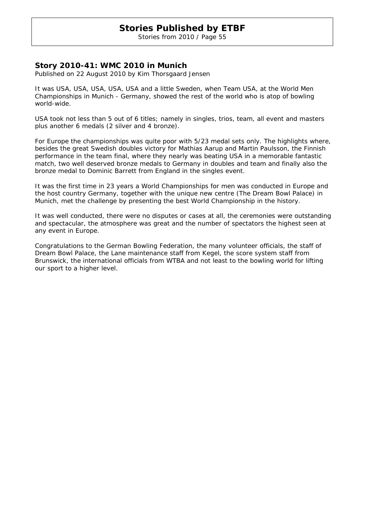Stories from 2010 / Page 55

### **Story 2010-41: WMC 2010 in Munich**

Published on 22 August 2010 by Kim Thorsgaard Jensen

It was USA, USA, USA, USA, USA and a little Sweden, when Team USA, at the World Men Championships in Munich - Germany, showed the rest of the world who is atop of bowling world-wide.

USA took not less than 5 out of 6 titles; namely in singles, trios, team, all event and masters plus another 6 medals (2 silver and 4 bronze).

For Europe the championships was quite poor with 5/23 medal sets only. The highlights where, besides the great Swedish doubles victory for Mathias Aarup and Martin Paulsson, the Finnish performance in the team final, where they nearly was beating USA in a memorable fantastic match, two well deserved bronze medals to Germany in doubles and team and finally also the bronze medal to Dominic Barrett from England in the singles event.

It was the first time in 23 years a World Championships for men was conducted in Europe and the host country Germany, together with the unique new centre (The Dream Bowl Palace) in Munich, met the challenge by presenting the best World Championship in the history.

It was well conducted, there were no disputes or cases at all, the ceremonies were outstanding and spectacular, the atmosphere was great and the number of spectators the highest seen at any event in Europe.

Congratulations to the German Bowling Federation, the many volunteer officials, the staff of Dream Bowl Palace, the Lane maintenance staff from Kegel, the score system staff from Brunswick, the international officials from WTBA and not least to the bowling world for lifting our sport to a higher level.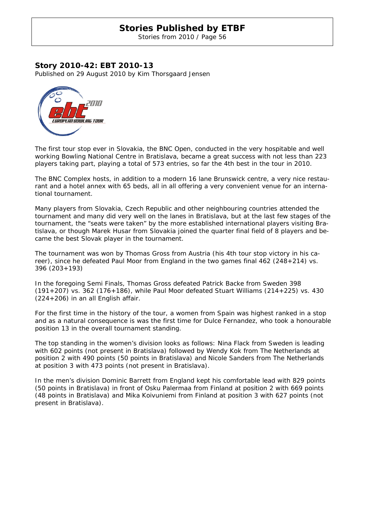Stories from 2010 / Page 56

### **Story 2010-42: EBT 2010-13**

Published on 29 August 2010 by Kim Thorsgaard Jensen



The first tour stop ever in Slovakia, the BNC Open, conducted in the very hospitable and well working Bowling National Centre in Bratislava, became a great success with not less than 223 players taking part, playing a total of 573 entries, so far the 4th best in the tour in 2010.

The BNC Complex hosts, in addition to a modern 16 lane Brunswick centre, a very nice restaurant and a hotel annex with 65 beds, all in all offering a very convenient venue for an international tournament.

Many players from Slovakia, Czech Republic and other neighbouring countries attended the tournament and many did very well on the lanes in Bratislava, but at the last few stages of the tournament, the "seats were taken" by the more established international players visiting Bratislava, or though Marek Husar from Slovakia joined the quarter final field of 8 players and became the best Slovak player in the tournament.

The tournament was won by Thomas Gross from Austria (his 4th tour stop victory in his career), since he defeated Paul Moor from England in the two games final 462 (248+214) vs. 396 (203+193)

In the foregoing Semi Finals, Thomas Gross defeated Patrick Backe from Sweden 398 (191+207) vs. 362 (176+186), while Paul Moor defeated Stuart Williams (214+225) vs. 430 (224+206) in an all English affair.

For the first time in the history of the tour, a women from Spain was highest ranked in a stop and as a natural consequence is was the first time for Dulce Fernandez, who took a honourable position 13 in the overall tournament standing.

The top standing in the women's division looks as follows: Nina Flack from Sweden is leading with 602 points (not present in Bratislava) followed by Wendy Kok from The Netherlands at position 2 with 490 points (50 points in Bratislava) and Nicole Sanders from The Netherlands at position 3 with 473 points (not present in Bratislava).

In the men's division Dominic Barrett from England kept his comfortable lead with 829 points (50 points in Bratislava) in front of Osku Palermaa from Finland at position 2 with 669 points (48 points in Bratislava) and Mika Koivuniemi from Finland at position 3 with 627 points (not present in Bratislava).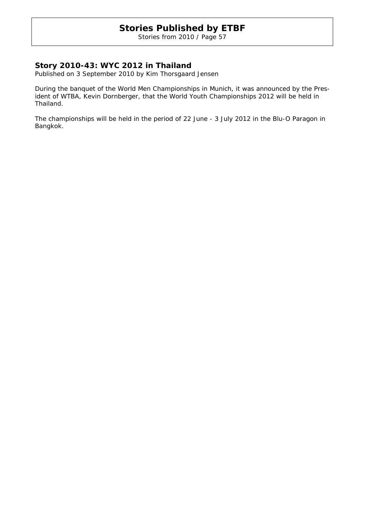Stories from 2010 / Page 57

### **Story 2010-43: WYC 2012 in Thailand**

Published on 3 September 2010 by Kim Thorsgaard Jensen

During the banquet of the World Men Championships in Munich, it was announced by the President of WTBA, Kevin Dornberger, that the World Youth Championships 2012 will be held in Thailand.

The championships will be held in the period of 22 June - 3 July 2012 in the Blu-O Paragon in Bangkok.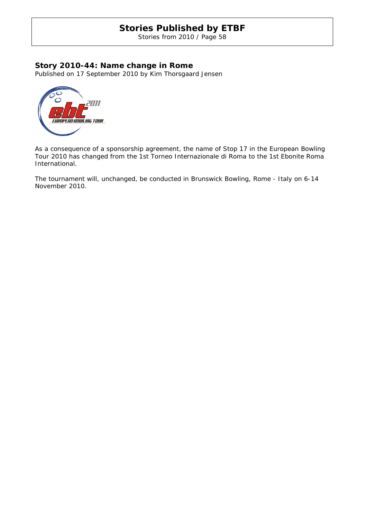Stories from 2010 / Page 58

### **Story 2010-44: Name change in Rome**

Published on 17 September 2010 by Kim Thorsgaard Jensen



As a consequence of a sponsorship agreement, the name of Stop 17 in the European Bowling Tour 2010 has changed from the 1st Torneo Internazionale di Roma to the 1st Ebonite Roma International.

The tournament will, unchanged, be conducted in Brunswick Bowling, Rome - Italy on 6-14 November 2010.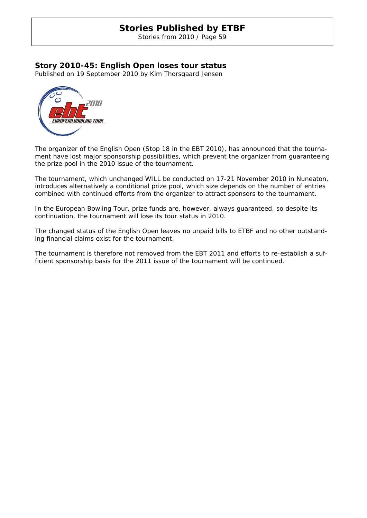Stories from 2010 / Page 59

### **Story 2010-45: English Open loses tour status**

Published on 19 September 2010 by Kim Thorsgaard Jensen



The organizer of the English Open (Stop 18 in the EBT 2010), has announced that the tournament have lost major sponsorship possibilities, which prevent the organizer from guaranteeing the prize pool in the 2010 issue of the tournament.

The tournament, which unchanged WILL be conducted on 17-21 November 2010 in Nuneaton, introduces alternatively a conditional prize pool, which size depends on the number of entries combined with continued efforts from the organizer to attract sponsors to the tournament.

In the European Bowling Tour, prize funds are, however, always guaranteed, so despite its continuation, the tournament will lose its tour status in 2010.

The changed status of the English Open leaves no unpaid bills to ETBF and no other outstanding financial claims exist for the tournament.

The tournament is therefore not removed from the EBT 2011 and efforts to re-establish a sufficient sponsorship basis for the 2011 issue of the tournament will be continued.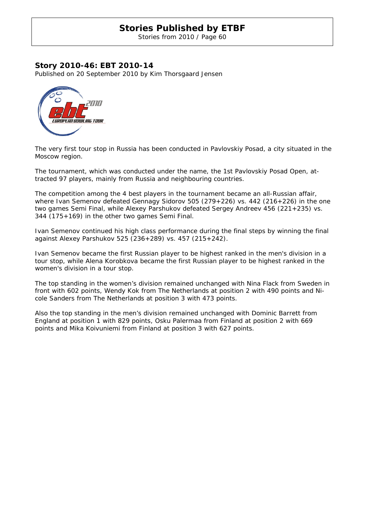Stories from 2010 / Page 60

### **Story 2010-46: EBT 2010-14**

Published on 20 September 2010 by Kim Thorsgaard Jensen



The very first tour stop in Russia has been conducted in Pavlovskiy Posad, a city situated in the Moscow region.

The tournament, which was conducted under the name, the 1st Pavlovskiy Posad Open, attracted 97 players, mainly from Russia and neighbouring countries.

The competition among the 4 best players in the tournament became an all-Russian affair, where Ivan Semenov defeated Gennagy Sidorov 505 (279+226) vs. 442 (216+226) in the one two games Semi Final, while Alexey Parshukov defeated Sergey Andreev 456 (221+235) vs. 344 (175+169) in the other two games Semi Final.

Ivan Semenov continued his high class performance during the final steps by winning the final against Alexey Parshukov 525 (236+289) vs. 457 (215+242).

Ivan Semenov became the first Russian player to be highest ranked in the men's division in a tour stop, while Alena Korobkova became the first Russian player to be highest ranked in the women's division in a tour stop.

The top standing in the women's division remained unchanged with Nina Flack from Sweden in front with 602 points, Wendy Kok from The Netherlands at position 2 with 490 points and Nicole Sanders from The Netherlands at position 3 with 473 points.

Also the top standing in the men's division remained unchanged with Dominic Barrett from England at position 1 with 829 points, Osku Palermaa from Finland at position 2 with 669 points and Mika Koivuniemi from Finland at position 3 with 627 points.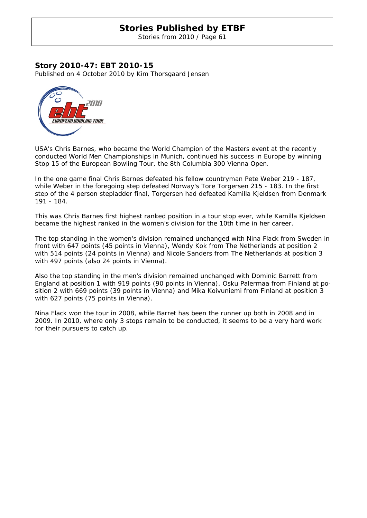Stories from 2010 / Page 61

### **Story 2010-47: EBT 2010-15**

Published on 4 October 2010 by Kim Thorsgaard Jensen



USA's Chris Barnes, who became the World Champion of the Masters event at the recently conducted World Men Championships in Munich, continued his success in Europe by winning Stop 15 of the European Bowling Tour, the 8th Columbia 300 Vienna Open.

In the one game final Chris Barnes defeated his fellow countryman Pete Weber 219 - 187, while Weber in the foregoing step defeated Norway's Tore Torgersen 215 - 183. In the first step of the 4 person stepladder final, Torgersen had defeated Kamilla Kjeldsen from Denmark 191 - 184.

This was Chris Barnes first highest ranked position in a tour stop ever, while Kamilla Kjeldsen became the highest ranked in the women's division for the 10th time in her career.

The top standing in the women's division remained unchanged with Nina Flack from Sweden in front with 647 points (45 points in Vienna), Wendy Kok from The Netherlands at position 2 with 514 points (24 points in Vienna) and Nicole Sanders from The Netherlands at position 3 with 497 points (also 24 points in Vienna).

Also the top standing in the men's division remained unchanged with Dominic Barrett from England at position 1 with 919 points (90 points in Vienna), Osku Palermaa from Finland at position 2 with 669 points (39 points in Vienna) and Mika Koivuniemi from Finland at position 3 with 627 points (75 points in Vienna).

Nina Flack won the tour in 2008, while Barret has been the runner up both in 2008 and in 2009. In 2010, where only 3 stops remain to be conducted, it seems to be a very hard work for their pursuers to catch up.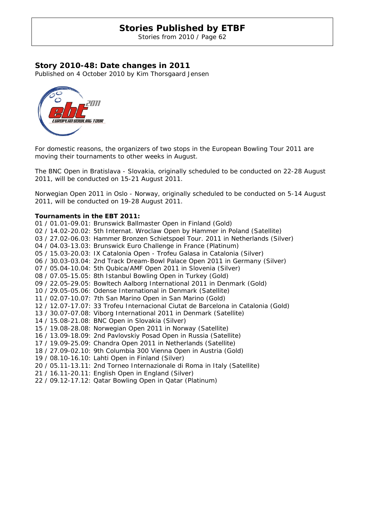Stories from 2010 / Page 62

### **Story 2010-48: Date changes in 2011**

Published on 4 October 2010 by Kim Thorsgaard Jensen



For domestic reasons, the organizers of two stops in the European Bowling Tour 2011 are moving their tournaments to other weeks in August.

The BNC Open in Bratislava - Slovakia, originally scheduled to be conducted on 22-28 August 2011, will be conducted on 15-21 August 2011.

Norwegian Open 2011 in Oslo - Norway, originally scheduled to be conducted on 5-14 August 2011, will be conducted on 19-28 August 2011.

#### **Tournaments in the EBT 2011:**

01 / 01.01-09.01: Brunswick Ballmaster Open in Finland (Gold) 02 / 14.02-20.02: 5th Internat. Wroclaw Open by Hammer in Poland (Satellite) 03 / 27.02-06.03: Hammer Bronzen Schietspoel Tour. 2011 in Netherlands (Silver) 04 / 04.03-13.03: Brunswick Euro Challenge in France (Platinum) 05 / 15.03-20.03: IX Catalonia Open - Trofeu Galasa in Catalonia (Silver) 06 / 30.03-03.04: 2nd Track Dream-Bowl Palace Open 2011 in Germany (Silver) 07 / 05.04-10.04: 5th Qubica/AMF Open 2011 in Slovenia (Silver) 08 / 07.05-15.05: 8th Istanbul Bowling Open in Turkey (Gold) 09 / 22.05-29.05: Bowltech Aalborg International 2011 in Denmark (Gold) 10 / 29.05-05.06: Odense International in Denmark (Satellite) 11 / 02.07-10.07: 7th San Marino Open in San Marino (Gold) 12 / 12.07-17.07: 33 Trofeu Internacional Ciutat de Barcelona in Catalonia (Gold) 13 / 30.07-07.08: Viborg International 2011 in Denmark (Satellite) 14 / 15.08-21.08: BNC Open in Slovakia (Silver) 15 / 19.08-28.08: Norwegian Open 2011 in Norway (Satellite) 16 / 13.09-18.09: 2nd Pavlovskiy Posad Open in Russia (Satellite) 17 / 19.09-25.09: Chandra Open 2011 in Netherlands (Satellite) 18 / 27.09-02.10: 9th Columbia 300 Vienna Open in Austria (Gold) 19 / 08.10-16.10: Lahti Open in Finland (Silver) 20 / 05.11-13.11: 2nd Torneo Internazionale di Roma in Italy (Satellite) 21 / 16.11-20.11: English Open in England (Silver) 22 / 09.12-17.12: Qatar Bowling Open in Qatar (Platinum)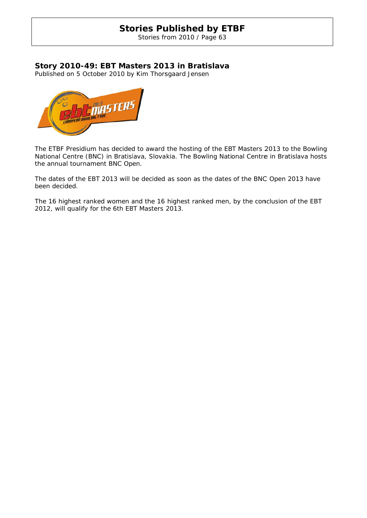Stories from 2010 / Page 63

### **Story 20 010-49: EBT Mas sters 201 13 in Bra atislava**

Published on 5 October 2010 by Kim Thorsgaard Jensen



The ETBF Presidium has decided to award the hosting of the EBT Masters 2013 to the Bowling National Centre (BNC) in Bratislava, Slovakia. The Bowling National Centre in Bratislava hosts the annual tournament BNC Open.

The dates of the EBT 2013 will be decided as soon as the dates of the BNC Open 2013 have been decid ded.

The 16 highest ranked women and the 16 highest ranked men, by the conclusion of the EBT 2012, will qualify for the 6th EB BT Masters 2013.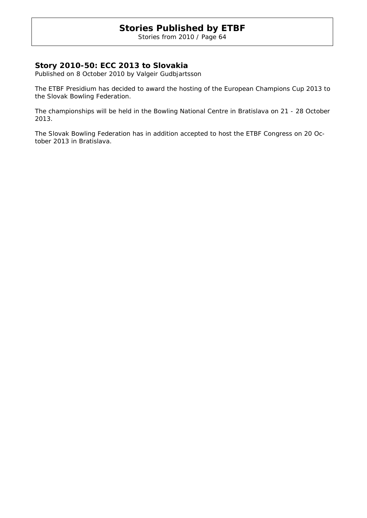Stories from 2010 / Page 64

### **Story 2010-50: ECC 2013 to Slovakia**

Published on 8 October 2010 by Valgeir Gudbjartsson

The ETBF Presidium has decided to award the hosting of the European Champions Cup 2013 to the Slovak Bowling Federation.

The championships will be held in the Bowling National Centre in Bratislava on 21 - 28 October 2013.

The Slovak Bowling Federation has in addition accepted to host the ETBF Congress on 20 October 2013 in Bratislava.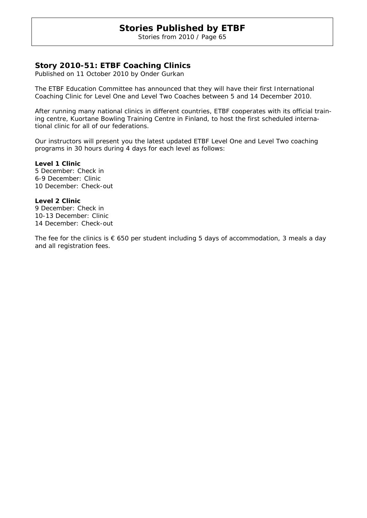Stories from 2010 / Page 65

### **Story 2010-51: ETBF Coaching Clinics**

Published on 11 October 2010 by Onder Gurkan

The ETBF Education Committee has announced that they will have their first International Coaching Clinic for Level One and Level Two Coaches between 5 and 14 December 2010.

After running many national clinics in different countries, ETBF cooperates with its official training centre, Kuortane Bowling Training Centre in Finland, to host the first scheduled international clinic for all of our federations.

Our instructors will present you the latest updated ETBF Level One and Level Two coaching programs in 30 hours during 4 days for each level as follows:

**Level 1 Clinic**  5 December: Check in 6-9 December: Clinic 10 December: Check-out

**Level 2 Clinic**  9 December: Check in 10-13 December: Clinic 14 December: Check-out

The fee for the clinics is  $\epsilon$  650 per student including 5 days of accommodation, 3 meals a day and all registration fees.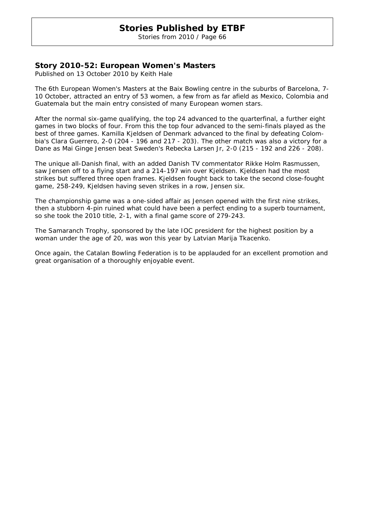Stories from 2010 / Page 66

### **Story 2010-52: European Women's Masters**

Published on 13 October 2010 by Keith Hale

The 6th European Women's Masters at the Baix Bowling centre in the suburbs of Barcelona, 7- 10 October, attracted an entry of 53 women, a few from as far afield as Mexico, Colombia and Guatemala but the main entry consisted of many European women stars.

After the normal six-game qualifying, the top 24 advanced to the quarterfinal, a further eight games in two blocks of four. From this the top four advanced to the semi-finals played as the best of three games. Kamilla Kjeldsen of Denmark advanced to the final by defeating Colombia's Clara Guerrero, 2-0 (204 - 196 and 217 - 203). The other match was also a victory for a Dane as Mai Ginge Jensen beat Sweden's Rebecka Larsen Jr, 2-0 (215 - 192 and 226 - 208).

The unique all-Danish final, with an added Danish TV commentator Rikke Holm Rasmussen, saw Jensen off to a flying start and a 214-197 win over Kjeldsen. Kjeldsen had the most strikes but suffered three open frames. Kjeldsen fought back to take the second close-fought game, 258-249, Kjeldsen having seven strikes in a row, Jensen six.

The championship game was a one-sided affair as Jensen opened with the first nine strikes, then a stubborn 4-pin ruined what could have been a perfect ending to a superb tournament, so she took the 2010 title, 2-1, with a final game score of 279-243.

The Samaranch Trophy, sponsored by the late IOC president for the highest position by a woman under the age of 20, was won this year by Latvian Marija Tkacenko.

Once again, the Catalan Bowling Federation is to be applauded for an excellent promotion and great organisation of a thoroughly enjoyable event.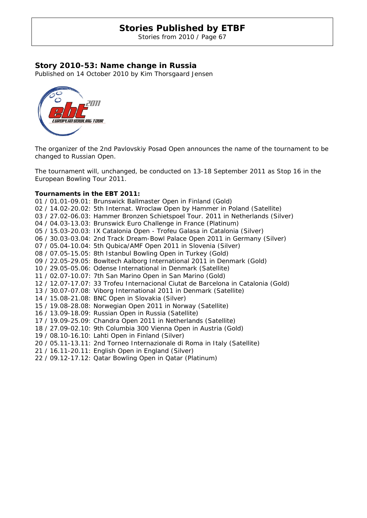Stories from 2010 / Page 67

### **Story 2010-53: Name change in Russia**

Published on 14 October 2010 by Kim Thorsgaard Jensen



The organizer of the 2nd Pavlovskiy Posad Open announces the name of the tournament to be changed to Russian Open.

The tournament will, unchanged, be conducted on 13-18 September 2011 as Stop 16 in the European Bowling Tour 2011.

#### **Tournaments in the EBT 2011:**

01 / 01.01-09.01: Brunswick Ballmaster Open in Finland (Gold) 02 / 14.02-20.02: 5th Internat. Wroclaw Open by Hammer in Poland (Satellite) 03 / 27.02-06.03: Hammer Bronzen Schietspoel Tour. 2011 in Netherlands (Silver) 04 / 04.03-13.03: Brunswick Euro Challenge in France (Platinum) 05 / 15.03-20.03: IX Catalonia Open - Trofeu Galasa in Catalonia (Silver) 06 / 30.03-03.04: 2nd Track Dream-Bowl Palace Open 2011 in Germany (Silver) 07 / 05.04-10.04: 5th Qubica/AMF Open 2011 in Slovenia (Silver) 08 / 07.05-15.05: 8th Istanbul Bowling Open in Turkey (Gold) 09 / 22.05-29.05: Bowltech Aalborg International 2011 in Denmark (Gold) 10 / 29.05-05.06: Odense International in Denmark (Satellite) 11 / 02.07-10.07: 7th San Marino Open in San Marino (Gold) 12 / 12.07-17.07: 33 Trofeu Internacional Ciutat de Barcelona in Catalonia (Gold) 13 / 30.07-07.08: Viborg International 2011 in Denmark (Satellite) 14 / 15.08-21.08: BNC Open in Slovakia (Silver) 15 / 19.08-28.08: Norwegian Open 2011 in Norway (Satellite) 16 / 13.09-18.09: Russian Open in Russia (Satellite) 17 / 19.09-25.09: Chandra Open 2011 in Netherlands (Satellite) 18 / 27.09-02.10: 9th Columbia 300 Vienna Open in Austria (Gold) 19 / 08.10-16.10: Lahti Open in Finland (Silver) 20 / 05.11-13.11: 2nd Torneo Internazionale di Roma in Italy (Satellite) 21 / 16.11-20.11: English Open in England (Silver) 22 / 09.12-17.12: Qatar Bowling Open in Qatar (Platinum)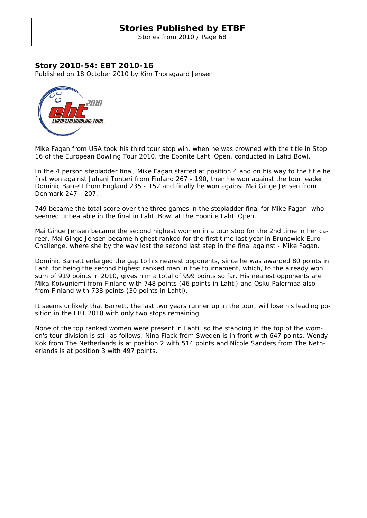Stories from 2010 / Page 68

### **Story 2010-54: EBT 2010-16**

Published on 18 October 2010 by Kim Thorsgaard Jensen



Mike Fagan from USA took his third tour stop win, when he was crowned with the title in Stop 16 of the European Bowling Tour 2010, the Ebonite Lahti Open, conducted in Lahti Bowl.

In the 4 person stepladder final, Mike Fagan started at position 4 and on his way to the title he first won against Juhani Tonteri from Finland 267 - 190, then he won against the tour leader Dominic Barrett from England 235 - 152 and finally he won against Mai Ginge Jensen from Denmark 247 - 207.

749 became the total score over the three games in the stepladder final for Mike Fagan, who seemed unbeatable in the final in Lahti Bowl at the Ebonite Lahti Open.

Mai Ginge Jensen became the second highest women in a tour stop for the 2nd time in her career. Mai Ginge Jensen became highest ranked for the first time last year in Brunswick Euro Challenge, where she by the way lost the second last step in the final against - Mike Fagan.

Dominic Barrett enlarged the gap to his nearest opponents, since he was awarded 80 points in Lahti for being the second highest ranked man in the tournament, which, to the already won sum of 919 points in 2010, gives him a total of 999 points so far. His nearest opponents are Mika Koivuniemi from Finland with 748 points (46 points in Lahti) and Osku Palermaa also from Finland with 738 points (30 points in Lahti).

It seems unlikely that Barrett, the last two years runner up in the tour, will lose his leading position in the EBT 2010 with only two stops remaining.

None of the top ranked women were present in Lahti, so the standing in the top of the women's tour division is still as follows; Nina Flack from Sweden is in front with 647 points, Wendy Kok from The Netherlands is at position 2 with 514 points and Nicole Sanders from The Netherlands is at position 3 with 497 points.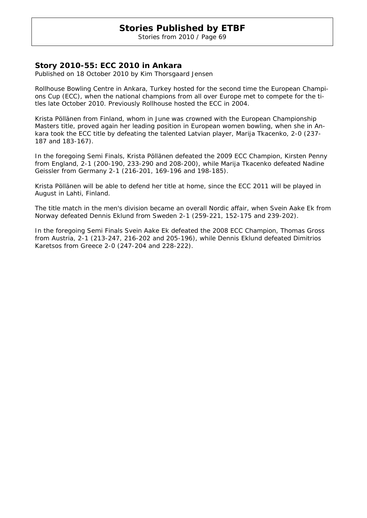Stories from 2010 / Page 69

### **Story 2010-55: ECC 2010 in Ankara**

Published on 18 October 2010 by Kim Thorsgaard Jensen

Rollhouse Bowling Centre in Ankara, Turkey hosted for the second time the European Champions Cup (ECC), when the national champions from all over Europe met to compete for the titles late October 2010. Previously Rollhouse hosted the ECC in 2004.

Krista Pöllänen from Finland, whom in June was crowned with the European Championship Masters title, proved again her leading position in European women bowling, when she in Ankara took the ECC title by defeating the talented Latvian player, Marija Tkacenko, 2-0 (237- 187 and 183-167).

In the foregoing Semi Finals, Krista Pöllänen defeated the 2009 ECC Champion, Kirsten Penny from England, 2-1 (200-190, 233-290 and 208-200), while Marija Tkacenko defeated Nadine Geissler from Germany 2-1 (216-201, 169-196 and 198-185).

Krista Pöllänen will be able to defend her title at home, since the ECC 2011 will be played in August in Lahti, Finland.

The title match in the men's division became an overall Nordic affair, when Svein Aake Ek from Norway defeated Dennis Eklund from Sweden 2-1 (259-221, 152-175 and 239-202).

In the foregoing Semi Finals Svein Aake Ek defeated the 2008 ECC Champion, Thomas Gross from Austria, 2-1 (213-247, 216-202 and 205-196), while Dennis Eklund defeated Dimitrios Karetsos from Greece 2-0 (247-204 and 228-222).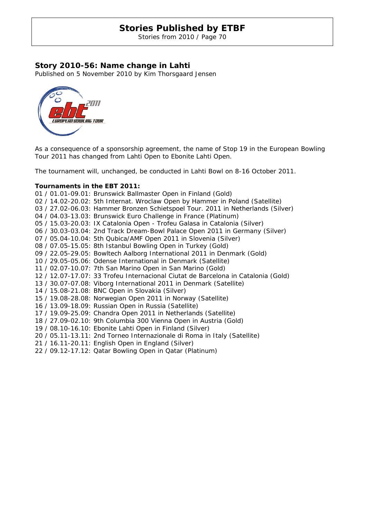Stories from 2010 / Page 70

### **Story 2010-56: Name change in Lahti**

Published on 5 November 2010 by Kim Thorsgaard Jensen



As a consequence of a sponsorship agreement, the name of Stop 19 in the European Bowling Tour 2011 has changed from Lahti Open to Ebonite Lahti Open.

The tournament will, unchanged, be conducted in Lahti Bowl on 8-16 October 2011.

#### **Tournaments in the EBT 2011:**

01 / 01.01-09.01: Brunswick Ballmaster Open in Finland (Gold) 02 / 14.02-20.02: 5th Internat. Wroclaw Open by Hammer in Poland (Satellite) 03 / 27.02-06.03: Hammer Bronzen Schietspoel Tour. 2011 in Netherlands (Silver) 04 / 04.03-13.03: Brunswick Euro Challenge in France (Platinum) 05 / 15.03-20.03: IX Catalonia Open - Trofeu Galasa in Catalonia (Silver) 06 / 30.03-03.04: 2nd Track Dream-Bowl Palace Open 2011 in Germany (Silver) 07 / 05.04-10.04: 5th Qubica/AMF Open 2011 in Slovenia (Silver) 08 / 07.05-15.05: 8th Istanbul Bowling Open in Turkey (Gold) 09 / 22.05-29.05: Bowltech Aalborg International 2011 in Denmark (Gold) 10 / 29.05-05.06: Odense International in Denmark (Satellite) 11 / 02.07-10.07: 7th San Marino Open in San Marino (Gold) 12 / 12.07-17.07: 33 Trofeu Internacional Ciutat de Barcelona in Catalonia (Gold) 13 / 30.07-07.08: Viborg International 2011 in Denmark (Satellite) 14 / 15.08-21.08: BNC Open in Slovakia (Silver) 15 / 19.08-28.08: Norwegian Open 2011 in Norway (Satellite) 16 / 13.09-18.09: Russian Open in Russia (Satellite) 17 / 19.09-25.09: Chandra Open 2011 in Netherlands (Satellite) 18 / 27.09-02.10: 9th Columbia 300 Vienna Open in Austria (Gold) 19 / 08.10-16.10: Ebonite Lahti Open in Finland (Silver) 20 / 05.11-13.11: 2nd Torneo Internazionale di Roma in Italy (Satellite) 21 / 16.11-20.11: English Open in England (Silver) 22 / 09.12-17.12: Qatar Bowling Open in Qatar (Platinum)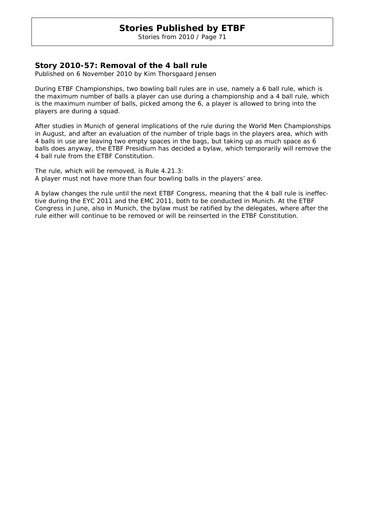Stories from 2010 / Page 71

### **Story 2010-57: Removal of the 4 ball rule**

Published on 6 November 2010 by Kim Thorsgaard Jensen

During ETBF Championships, two bowling ball rules are in use, namely a 6 ball rule, which is the maximum number of balls a player can use during a championship and a 4 ball rule, which is the maximum number of balls, picked among the 6, a player is allowed to bring into the players are during a squad.

After studies in Munich of general implications of the rule during the World Men Championships in August, and after an evaluation of the number of triple bags in the players area, which with 4 balls in use are leaving two empty spaces in the bags, but taking up as much space as 6 balls does anyway, the ETBF Presidium has decided a bylaw, which temporarily will remove the 4 ball rule from the ETBF Constitution.

The rule, which will be removed, is Rule 4.21.3: *A player must not have more than four bowling balls in the players' area.* 

A bylaw changes the rule until the next ETBF Congress, meaning that the 4 ball rule is ineffective during the EYC 2011 and the EMC 2011, both to be conducted in Munich. At the ETBF Congress in June, also in Munich, the bylaw must be ratified by the delegates, where after the rule either will continue to be removed or will be reinserted in the ETBF Constitution.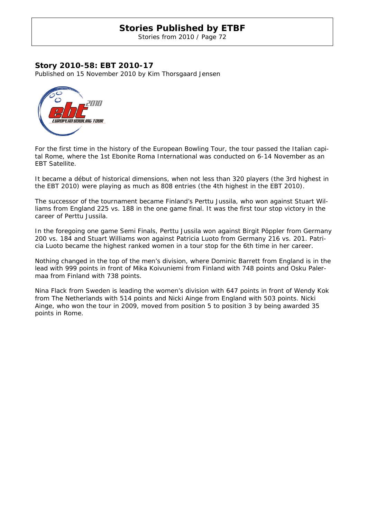Stories from 2010 / Page 72

### **Story 2010-58: EBT 2010-17**

Published on 15 November 2010 by Kim Thorsgaard Jensen



For the first time in the history of the European Bowling Tour, the tour passed the Italian capital Rome, where the 1st Ebonite Roma International was conducted on 6-14 November as an EBT Satellite.

It became a début of historical dimensions, when not less than 320 players (the 3rd highest in the EBT 2010) were playing as much as 808 entries (the 4th highest in the EBT 2010).

The successor of the tournament became Finland's Perttu Jussila, who won against Stuart Williams from England 225 vs. 188 in the one game final. It was the first tour stop victory in the career of Perttu Jussila.

In the foregoing one game Semi Finals, Perttu Jussila won against Birgit Pöppler from Germany 200 vs. 184 and Stuart Williams won against Patricia Luoto from Germany 216 vs. 201. Patricia Luoto became the highest ranked women in a tour stop for the 6th time in her career.

Nothing changed in the top of the men's division, where Dominic Barrett from England is in the lead with 999 points in front of Mika Koivuniemi from Finland with 748 points and Osku Palermaa from Finland with 738 points.

Nina Flack from Sweden is leading the women's division with 647 points in front of Wendy Kok from The Netherlands with 514 points and Nicki Ainge from England with 503 points. Nicki Ainge, who won the tour in 2009, moved from position 5 to position 3 by being awarded 35 points in Rome.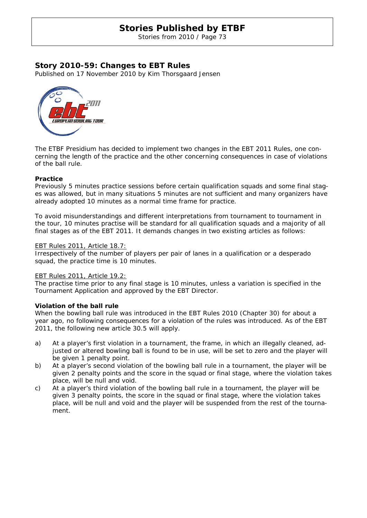Stories from 2010 / Page 73

### **Story 2010-59: Changes to EBT Rules**

Published on 17 November 2010 by Kim Thorsgaard Jensen



The ETBF Presidium has decided to implement two changes in the EBT 2011 Rules, one concerning the length of the practice and the other concerning consequences in case of violations of the ball rule.

#### **Practice**

Previously 5 minutes practice sessions before certain qualification squads and some final stages was allowed, but in many situations 5 minutes are not sufficient and many organizers have already adopted 10 minutes as a normal time frame for practice.

To avoid misunderstandings and different interpretations from tournament to tournament in the tour, 10 minutes practise will be standard for all qualification squads and a majority of all final stages as of the EBT 2011. It demands changes in two existing articles as follows:

#### EBT Rules 2011, Article 18.7:

Irrespectively of the number of players per pair of lanes in a qualification or a desperado squad, the practice time is 10 minutes.

#### EBT Rules 2011, Article 19.2:

The practise time prior to any final stage is 10 minutes, unless a variation is specified in the Tournament Application and approved by the EBT Director.

#### **Violation of the ball rule**

When the bowling ball rule was introduced in the EBT Rules 2010 (Chapter 30) for about a year ago, no following consequences for a violation of the rules was introduced. As of the EBT 2011, the following new article 30.5 will apply.

- a) At a player's first violation in a tournament, the frame, in which an illegally cleaned, adjusted or altered bowling ball is found to be in use, will be set to zero and the player will be given 1 penalty point.
- b) At a player's second violation of the bowling ball rule in a tournament, the player will be given 2 penalty points and the score in the squad or final stage, where the violation takes place, will be null and void.
- c) At a player's third violation of the bowling ball rule in a tournament, the player will be given 3 penalty points, the score in the squad or final stage, where the violation takes place, will be null and void and the player will be suspended from the rest of the tournament.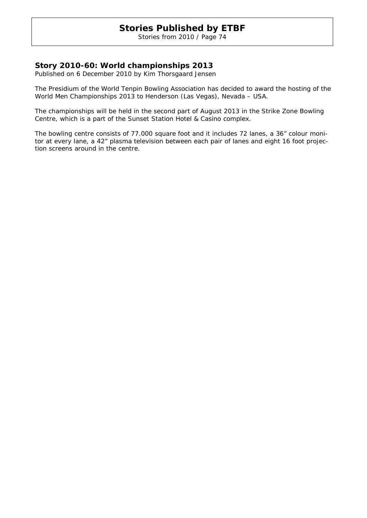Stories from 2010 / Page 74

### **Story 2010-60: World championships 2013**

Published on 6 December 2010 by Kim Thorsgaard Jensen

The Presidium of the World Tenpin Bowling Association has decided to award the hosting of the World Men Championships 2013 to Henderson (Las Vegas), Nevada – USA.

The championships will be held in the second part of August 2013 in the Strike Zone Bowling Centre, which is a part of the Sunset Station Hotel & Casino complex.

The bowling centre consists of 77.000 square foot and it includes 72 lanes, a 36" colour monitor at every lane, a 42" plasma television between each pair of lanes and eight 16 foot projection screens around in the centre.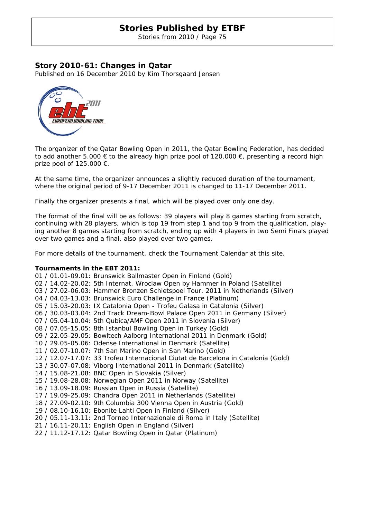Stories from 2010 / Page 75

### **Story 2010-61: Changes in Qatar**

Published on 16 December 2010 by Kim Thorsgaard Jensen



The organizer of the Qatar Bowling Open in 2011, the Qatar Bowling Federation, has decided to add another 5.000  $\epsilon$  to the already high prize pool of 120.000  $\epsilon$ , presenting a record high prize pool of 125.000  $\epsilon$ .

At the same time, the organizer announces a slightly reduced duration of the tournament, where the original period of 9-17 December 2011 is changed to 11-17 December 2011.

Finally the organizer presents a final, which will be played over only one day.

The format of the final will be as follows: 39 players will play 8 games starting from scratch, continuing with 28 players, which is top 19 from step 1 and top 9 from the qualification, playing another 8 games starting from scratch, ending up with 4 players in two Semi Finals played over two games and a final, also played over two games.

For more details of the tournament, check the Tournament Calendar at this site.

#### **Tournaments in the EBT 2011:**

01 / 01.01-09.01: Brunswick Ballmaster Open in Finland (Gold) 02 / 14.02-20.02: 5th Internat. Wroclaw Open by Hammer in Poland (Satellite) 03 / 27.02-06.03: Hammer Bronzen Schietspoel Tour. 2011 in Netherlands (Silver) 04 / 04.03-13.03: Brunswick Euro Challenge in France (Platinum) 05 / 15.03-20.03: IX Catalonia Open - Trofeu Galasa in Catalonia (Silver) 06 / 30.03-03.04: 2nd Track Dream-Bowl Palace Open 2011 in Germany (Silver) 07 / 05.04-10.04: 5th Qubica/AMF Open 2011 in Slovenia (Silver) 08 / 07.05-15.05: 8th Istanbul Bowling Open in Turkey (Gold) 09 / 22.05-29.05: Bowltech Aalborg International 2011 in Denmark (Gold) 10 / 29.05-05.06: Odense International in Denmark (Satellite) 11 / 02.07-10.07: 7th San Marino Open in San Marino (Gold) 12 / 12.07-17.07: 33 Trofeu Internacional Ciutat de Barcelona in Catalonia (Gold) 13 / 30.07-07.08: Viborg International 2011 in Denmark (Satellite) 14 / 15.08-21.08: BNC Open in Slovakia (Silver) 15 / 19.08-28.08: Norwegian Open 2011 in Norway (Satellite) 16 / 13.09-18.09: Russian Open in Russia (Satellite) 17 / 19.09-25.09: Chandra Open 2011 in Netherlands (Satellite) 18 / 27.09-02.10: 9th Columbia 300 Vienna Open in Austria (Gold) 19 / 08.10-16.10: Ebonite Lahti Open in Finland (Silver) 20 / 05.11-13.11: 2nd Torneo Internazionale di Roma in Italy (Satellite) 21 / 16.11-20.11: English Open in England (Silver) 22 / 11.12-17.12: Qatar Bowling Open in Qatar (Platinum)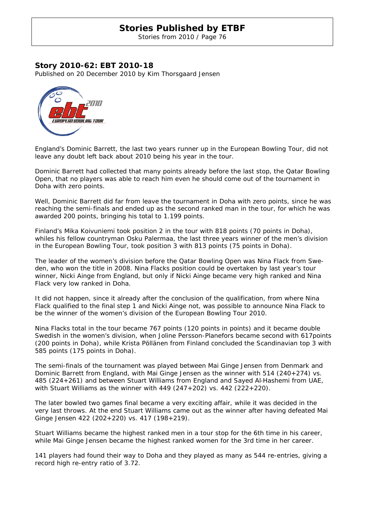Stories from 2010 / Page 76

### **Story 2010-62: EBT 2010-18**

Published on 20 December 2010 by Kim Thorsgaard Jensen



England's Dominic Barrett, the last two years runner up in the European Bowling Tour, did not leave any doubt left back about 2010 being his year in the tour.

Dominic Barrett had collected that many points already before the last stop, the Qatar Bowling Open, that no players was able to reach him even he should come out of the tournament in Doha with zero points.

Well, Dominic Barrett did far from leave the tournament in Doha with zero points, since he was reaching the semi-finals and ended up as the second ranked man in the tour, for which he was awarded 200 points, bringing his total to 1.199 points.

Finland's Mika Koivuniemi took position 2 in the tour with 818 points (70 points in Doha), whiles his fellow countryman Osku Palermaa, the last three years winner of the men's division in the European Bowling Tour, took position 3 with 813 points (75 points in Doha).

The leader of the women's division before the Qatar Bowling Open was Nina Flack from Sweden, who won the title in 2008. Nina Flacks position could be overtaken by last year's tour winner, Nicki Ainge from England, but only if Nicki Ainge became very high ranked and Nina Flack very low ranked in Doha.

It did not happen, since it already after the conclusion of the qualification, from where Nina Flack qualified to the final step 1 and Nicki Ainge not, was possible to announce Nina Flack to be the winner of the women's division of the European Bowling Tour 2010.

Nina Flacks total in the tour became 767 points (120 points in points) and it became double Swedish in the women's division, when Joline Persson-Planefors became second with 617points (200 points in Doha), while Krista Pöllänen from Finland concluded the Scandinavian top 3 with 585 points (175 points in Doha).

The semi-finals of the tournament was played between Mai Ginge Jensen from Denmark and Dominic Barrett from England, with Mai Ginge Jensen as the winner with 514 (240+274) vs. 485 (224+261) and between Stuart Williams from England and Sayed Al‐Hashemi from UAE, with Stuart Williams as the winner with  $449$  ( $247+202$ ) vs.  $442$  ( $222+220$ ).

The later bowled two games final became a very exciting affair, while it was decided in the very last throws. At the end Stuart Williams came out as the winner after having defeated Mai Ginge Jensen 422 (202+220) vs. 417 (198+219).

Stuart Williams became the highest ranked men in a tour stop for the 6th time in his career, while Mai Ginge Jensen became the highest ranked women for the 3rd time in her career.

141 players had found their way to Doha and they played as many as 544 re-entries, giving a record high re-entry ratio of 3.72.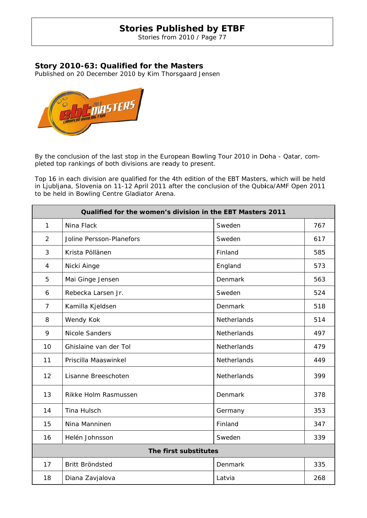Stories from 2010 / Page 77

## Story 2010-63: Qualified for the Masters

Published on 20 December 2010 by Kim Thorsgaard Jensen



By the conclusion of the last stop in the European Bowling Tour 2010 in Doha - Qatar, completed top rankings of both divisions are ready to present.

| By the conclusion of the last stop in the European Bowling Tour 2010 in Doha - Qatar, com-<br>pleted top rankings of both divisions are ready to present.                                                                                        |                          |                    |     |  |  |  |
|--------------------------------------------------------------------------------------------------------------------------------------------------------------------------------------------------------------------------------------------------|--------------------------|--------------------|-----|--|--|--|
| Top 16 in each division are qualified for the 4th edition of the EBT Masters, which will be held<br>in Ljubljana, Slovenia on 11-12 April 2011 after the conclusion of the Qubica/AMF Open 2011<br>to be held in Bowling Centre Gladiator Arena. |                          |                    |     |  |  |  |
| Qualified for the women's division in the EBT Masters 2011                                                                                                                                                                                       |                          |                    |     |  |  |  |
| $\mathbf{1}$                                                                                                                                                                                                                                     | Nina Flack               | Sweden             | 767 |  |  |  |
| $\overline{2}$                                                                                                                                                                                                                                   | Joline Persson-Planefors | Sweden             | 617 |  |  |  |
| 3                                                                                                                                                                                                                                                | Krista Pöllänen          | Finland            | 585 |  |  |  |
| 4                                                                                                                                                                                                                                                | Nicki Ainge              | England            | 573 |  |  |  |
| 5                                                                                                                                                                                                                                                | Mai Ginge Jensen         | Denmark            | 563 |  |  |  |
| 6                                                                                                                                                                                                                                                | Rebecka Larsen Jr.       | Sweden             | 524 |  |  |  |
| 7                                                                                                                                                                                                                                                | Kamilla Kjeldsen         | Denmark            | 518 |  |  |  |
| 8                                                                                                                                                                                                                                                | Wendy Kok                | <b>Netherlands</b> | 514 |  |  |  |
| 9                                                                                                                                                                                                                                                | <b>Nicole Sanders</b>    | Netherlands        | 497 |  |  |  |
| 10                                                                                                                                                                                                                                               | Ghislaine van der Tol    | Netherlands        | 479 |  |  |  |
| 11                                                                                                                                                                                                                                               | Priscilla Maaswinkel     | Netherlands        | 449 |  |  |  |
| 12                                                                                                                                                                                                                                               | Lisanne Breeschoten      | Netherlands        | 399 |  |  |  |
| 13                                                                                                                                                                                                                                               | Rikke Holm Rasmussen     | Denmark            | 378 |  |  |  |
| 14                                                                                                                                                                                                                                               | Tina Hulsch              | Germany            | 353 |  |  |  |
| 15                                                                                                                                                                                                                                               | Nina Manninen            | Finland            | 347 |  |  |  |
| 16                                                                                                                                                                                                                                               | Helén Johnsson           | Sweden             | 339 |  |  |  |
| The first substitutes                                                                                                                                                                                                                            |                          |                    |     |  |  |  |
| 17                                                                                                                                                                                                                                               | Britt Bröndsted          | Denmark            | 335 |  |  |  |
| 18                                                                                                                                                                                                                                               | Diana Zavjalova          | Latvia             | 268 |  |  |  |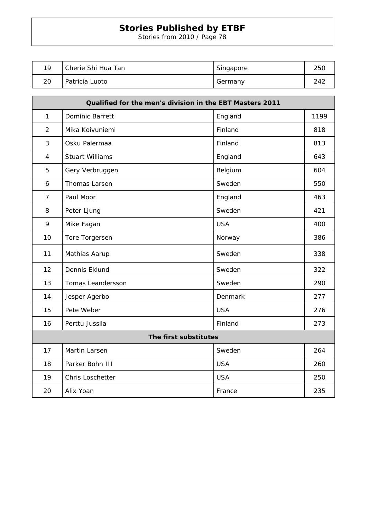Stories from 2010 / Page 78

| 1 Q | Cherie Shi Hua Tan | Singapore | 250 |
|-----|--------------------|-----------|-----|
| 20  | Patricia Luoto     | Germany   | 242 |

| Qualified for the men's division in the EBT Masters 2011 |                        |            |      |  |  |  |
|----------------------------------------------------------|------------------------|------------|------|--|--|--|
| $\mathbf{1}$                                             | Dominic Barrett        | England    | 1199 |  |  |  |
| $\overline{2}$                                           | Mika Koivuniemi        | Finland    | 818  |  |  |  |
| 3                                                        | Osku Palermaa          | Finland    | 813  |  |  |  |
| $\overline{4}$                                           | <b>Stuart Williams</b> | England    | 643  |  |  |  |
| 5                                                        | Gery Verbruggen        | Belgium    | 604  |  |  |  |
| 6                                                        | Thomas Larsen          | Sweden     | 550  |  |  |  |
| $\overline{7}$                                           | Paul Moor              | England    | 463  |  |  |  |
| 8                                                        | Peter Ljung            | Sweden     | 421  |  |  |  |
| 9                                                        | Mike Fagan             | <b>USA</b> | 400  |  |  |  |
| 10                                                       | Tore Torgersen         | Norway     | 386  |  |  |  |
| 11                                                       | Mathias Aarup          | Sweden     | 338  |  |  |  |
| 12                                                       | Dennis Eklund          | Sweden     | 322  |  |  |  |
| 13                                                       | Tomas Leandersson      | Sweden     | 290  |  |  |  |
| 14                                                       | Jesper Agerbo          | Denmark    | 277  |  |  |  |
| 15                                                       | Pete Weber             | <b>USA</b> | 276  |  |  |  |
| 16                                                       | Perttu Jussila         | Finland    | 273  |  |  |  |
| The first substitutes                                    |                        |            |      |  |  |  |
| 17                                                       | Martin Larsen          | Sweden     | 264  |  |  |  |
| 18                                                       | Parker Bohn III        | <b>USA</b> | 260  |  |  |  |
| 19                                                       | Chris Loschetter       | <b>USA</b> | 250  |  |  |  |
| 20                                                       | Alix Yoan              | France     | 235  |  |  |  |